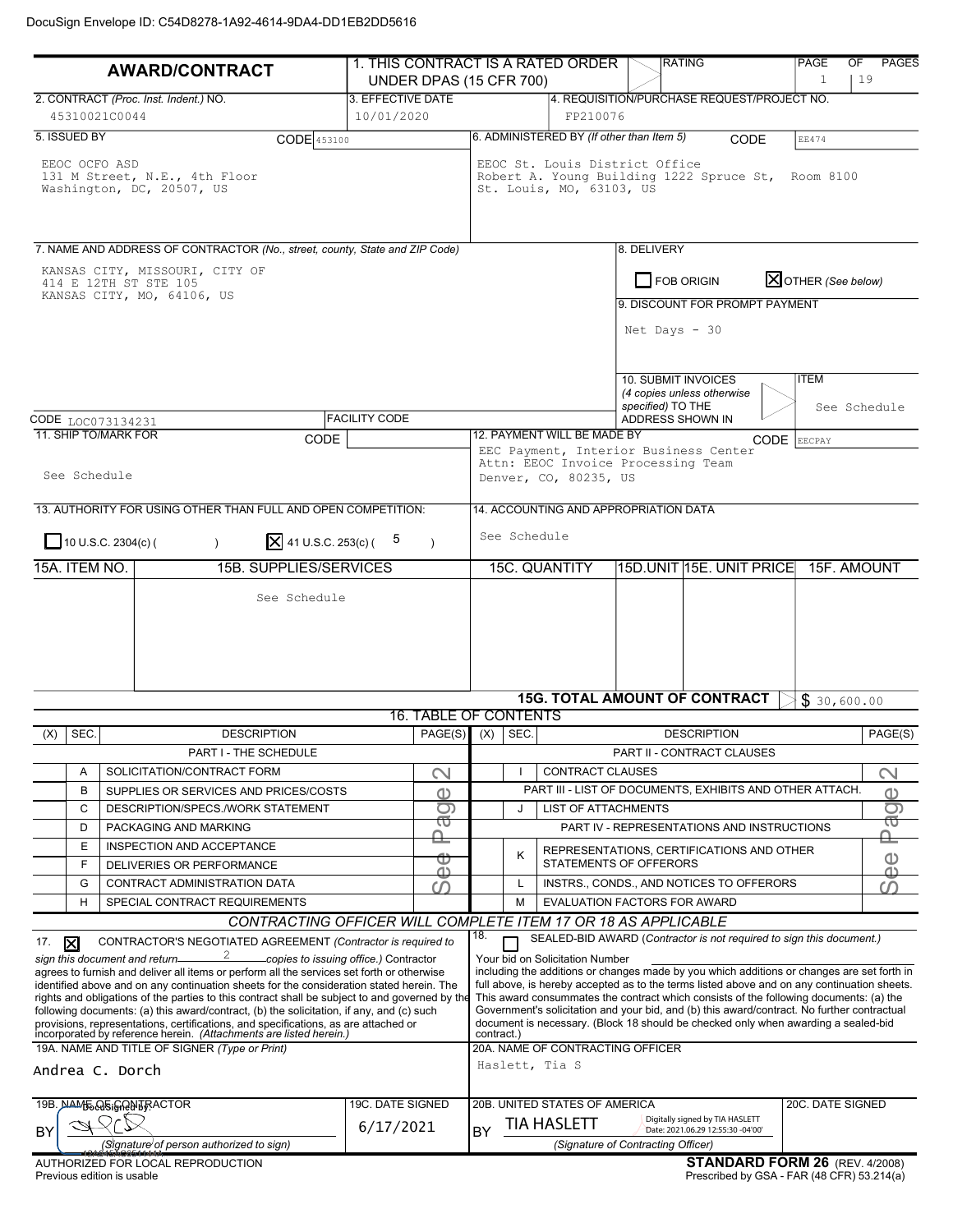|                                                                                                                                                                                                                                                                                                                                                                                                                                                                                                                                                                                                                                                                                                                                                                                  | 1. THIS CONTRACT IS A RATED ORDER<br><b>AWARD/CONTRACT</b><br>UNDER DPAS (15 CFR 700)          |                               |                                                                                                                                                                                          |                                                                                           |                                                                                                                                     | RATING                                                                                | PAGE<br>$\mathbf{1}$                     | <b>PAGES</b><br>OF<br>19                                                                                                                                                                                                                                                                                                                                                                                                                                                                                                                         |                  |                      |
|----------------------------------------------------------------------------------------------------------------------------------------------------------------------------------------------------------------------------------------------------------------------------------------------------------------------------------------------------------------------------------------------------------------------------------------------------------------------------------------------------------------------------------------------------------------------------------------------------------------------------------------------------------------------------------------------------------------------------------------------------------------------------------|------------------------------------------------------------------------------------------------|-------------------------------|------------------------------------------------------------------------------------------------------------------------------------------------------------------------------------------|-------------------------------------------------------------------------------------------|-------------------------------------------------------------------------------------------------------------------------------------|---------------------------------------------------------------------------------------|------------------------------------------|--------------------------------------------------------------------------------------------------------------------------------------------------------------------------------------------------------------------------------------------------------------------------------------------------------------------------------------------------------------------------------------------------------------------------------------------------------------------------------------------------------------------------------------------------|------------------|----------------------|
| 2. CONTRACT (Proc. Inst. Indent.) NO.<br>45310021C0044                                                                                                                                                                                                                                                                                                                                                                                                                                                                                                                                                                                                                                                                                                                           |                                                                                                | 10/01/2020                    | 3. EFFECTIVE DATE<br>FP210076                                                                                                                                                            |                                                                                           |                                                                                                                                     | 4. REQUISITION/PURCHASE REQUEST/PROJECT NO.                                           |                                          |                                                                                                                                                                                                                                                                                                                                                                                                                                                                                                                                                  |                  |                      |
| 5. ISSUED BY                                                                                                                                                                                                                                                                                                                                                                                                                                                                                                                                                                                                                                                                                                                                                                     | CODE 453100                                                                                    |                               |                                                                                                                                                                                          |                                                                                           |                                                                                                                                     |                                                                                       |                                          |                                                                                                                                                                                                                                                                                                                                                                                                                                                                                                                                                  |                  |                      |
| EEOC OCFO ASD<br>131 M Street, N.E., 4th Floor<br>Washington, DC, 20507, US                                                                                                                                                                                                                                                                                                                                                                                                                                                                                                                                                                                                                                                                                                      |                                                                                                |                               | 6. ADMINISTERED BY (If other than Item 5)<br><b>CODE</b><br>EE474<br>EEOC St. Louis District Office<br>Robert A. Young Building 1222 Spruce St,<br>Room 8100<br>St. Louis, MO, 63103, US |                                                                                           |                                                                                                                                     |                                                                                       |                                          |                                                                                                                                                                                                                                                                                                                                                                                                                                                                                                                                                  |                  |                      |
|                                                                                                                                                                                                                                                                                                                                                                                                                                                                                                                                                                                                                                                                                                                                                                                  |                                                                                                |                               |                                                                                                                                                                                          |                                                                                           |                                                                                                                                     |                                                                                       |                                          |                                                                                                                                                                                                                                                                                                                                                                                                                                                                                                                                                  |                  |                      |
| 7. NAME AND ADDRESS OF CONTRACTOR (No., street, county, State and ZIP Code)<br>KANSAS CITY, MISSOURI, CITY OF<br>414 E 12TH ST STE 105<br>KANSAS CITY, MO, 64106, US                                                                                                                                                                                                                                                                                                                                                                                                                                                                                                                                                                                                             |                                                                                                |                               |                                                                                                                                                                                          |                                                                                           |                                                                                                                                     | 8. DELIVERY<br>FOB ORIGIN<br>Net Days $-30$                                           | 9. DISCOUNT FOR PROMPT PAYMENT           | <b>X</b> OTHER (See below)                                                                                                                                                                                                                                                                                                                                                                                                                                                                                                                       |                  |                      |
|                                                                                                                                                                                                                                                                                                                                                                                                                                                                                                                                                                                                                                                                                                                                                                                  |                                                                                                |                               |                                                                                                                                                                                          |                                                                                           |                                                                                                                                     |                                                                                       | 10. SUBMIT INVOICES<br>specified) TO THE | (4 copies unless otherwise                                                                                                                                                                                                                                                                                                                                                                                                                                                                                                                       | <b>ITEM</b>      | See Schedule         |
| CODE LOC073134231                                                                                                                                                                                                                                                                                                                                                                                                                                                                                                                                                                                                                                                                                                                                                                |                                                                                                | <b>FACILITY CODE</b>          |                                                                                                                                                                                          |                                                                                           |                                                                                                                                     |                                                                                       | ADDRESS SHOWN IN                         |                                                                                                                                                                                                                                                                                                                                                                                                                                                                                                                                                  |                  |                      |
| 11. SHIP TO/MARK FOR<br>CODE<br>See Schedule                                                                                                                                                                                                                                                                                                                                                                                                                                                                                                                                                                                                                                                                                                                                     |                                                                                                |                               |                                                                                                                                                                                          |                                                                                           | 12. PAYMENT WILL BE MADE BY<br>EEC Payment, Interior Business Center<br>Attn: EEOC Invoice Processing Team<br>Denver, CO, 80235, US |                                                                                       |                                          | <b>CODE</b> EECPAY                                                                                                                                                                                                                                                                                                                                                                                                                                                                                                                               |                  |                      |
| 13. AUTHORITY FOR USING OTHER THAN FULL AND OPEN COMPETITION:<br>$\vert X \vert$ 41 U.S.C. 253(c) (<br>5<br>10 U.S.C. 2304(c) (<br>$\lambda$                                                                                                                                                                                                                                                                                                                                                                                                                                                                                                                                                                                                                                     |                                                                                                |                               |                                                                                                                                                                                          | See Schedule                                                                              | 14. ACCOUNTING AND APPROPRIATION DATA                                                                                               |                                                                                       |                                          |                                                                                                                                                                                                                                                                                                                                                                                                                                                                                                                                                  |                  |                      |
| 15A. ITEM NO.<br>15B. SUPPLIES/SERVICES                                                                                                                                                                                                                                                                                                                                                                                                                                                                                                                                                                                                                                                                                                                                          |                                                                                                |                               |                                                                                                                                                                                          | <b>15C. QUANTITY</b>                                                                      |                                                                                                                                     | 15D.UNIT 15E. UNIT PRICE                                                              |                                          | 15F. AMOUNT                                                                                                                                                                                                                                                                                                                                                                                                                                                                                                                                      |                  |                      |
|                                                                                                                                                                                                                                                                                                                                                                                                                                                                                                                                                                                                                                                                                                                                                                                  |                                                                                                |                               |                                                                                                                                                                                          |                                                                                           |                                                                                                                                     |                                                                                       |                                          | <b>15G. TOTAL AMOUNT OF CONTRACT</b>                                                                                                                                                                                                                                                                                                                                                                                                                                                                                                             | \$30,600.00      |                      |
| SEC.<br>(X)                                                                                                                                                                                                                                                                                                                                                                                                                                                                                                                                                                                                                                                                                                                                                                      | <b>DESCRIPTION</b>                                                                             |                               | <b>16. TABLE OF CONTENTS</b><br>$PAGE(S)$ (X) SEC.                                                                                                                                       |                                                                                           |                                                                                                                                     |                                                                                       |                                          | <b>DESCRIPTION</b>                                                                                                                                                                                                                                                                                                                                                                                                                                                                                                                               |                  | PAGE(S)              |
|                                                                                                                                                                                                                                                                                                                                                                                                                                                                                                                                                                                                                                                                                                                                                                                  | PART I - THE SCHEDULE                                                                          |                               |                                                                                                                                                                                          | PART II - CONTRACT CLAUSES                                                                |                                                                                                                                     |                                                                                       |                                          |                                                                                                                                                                                                                                                                                                                                                                                                                                                                                                                                                  |                  |                      |
| Α                                                                                                                                                                                                                                                                                                                                                                                                                                                                                                                                                                                                                                                                                                                                                                                | SOLICITATION/CONTRACT FORM                                                                     |                               | $\mathbf{\Omega}$                                                                                                                                                                        | <b>CONTRACT CLAUSES</b><br>$\mathrel{\sim}$                                               |                                                                                                                                     |                                                                                       |                                          |                                                                                                                                                                                                                                                                                                                                                                                                                                                                                                                                                  |                  |                      |
| в                                                                                                                                                                                                                                                                                                                                                                                                                                                                                                                                                                                                                                                                                                                                                                                | SUPPLIES OR SERVICES AND PRICES/COSTS                                                          |                               | Φ                                                                                                                                                                                        |                                                                                           |                                                                                                                                     |                                                                                       |                                          | PART III - LIST OF DOCUMENTS, EXHIBITS AND OTHER ATTACH.                                                                                                                                                                                                                                                                                                                                                                                                                                                                                         |                  | $\bigcirc$           |
| C                                                                                                                                                                                                                                                                                                                                                                                                                                                                                                                                                                                                                                                                                                                                                                                | DESCRIPTION/SPECS./WORK STATEMENT                                                              |                               | ටා<br>ᡕᠣ                                                                                                                                                                                 |                                                                                           | J                                                                                                                                   | LIST OF ATTACHMENTS                                                                   |                                          |                                                                                                                                                                                                                                                                                                                                                                                                                                                                                                                                                  |                  | <u>ත</u><br>ℼ        |
| D<br>Е                                                                                                                                                                                                                                                                                                                                                                                                                                                                                                                                                                                                                                                                                                                                                                           | PACKAGING AND MARKING<br>INSPECTION AND ACCEPTANCE                                             |                               | <u>n</u>                                                                                                                                                                                 |                                                                                           |                                                                                                                                     |                                                                                       |                                          | PART IV - REPRESENTATIONS AND INSTRUCTIONS                                                                                                                                                                                                                                                                                                                                                                                                                                                                                                       |                  | $\tilde{\mathbf{r}}$ |
| F                                                                                                                                                                                                                                                                                                                                                                                                                                                                                                                                                                                                                                                                                                                                                                                | DELIVERIES OR PERFORMANCE                                                                      |                               | Φ<br>Φ                                                                                                                                                                                   |                                                                                           | Κ                                                                                                                                   | STATEMENTS OF OFFERORS                                                                |                                          | REPRESENTATIONS, CERTIFICATIONS AND OTHER                                                                                                                                                                                                                                                                                                                                                                                                                                                                                                        |                  | $\bigcirc$<br>$\Phi$ |
| G                                                                                                                                                                                                                                                                                                                                                                                                                                                                                                                                                                                                                                                                                                                                                                                | CONTRACT ADMINISTRATION DATA                                                                   |                               | $\Omega$                                                                                                                                                                                 | INSTRS., CONDS., AND NOTICES TO OFFERORS<br>L<br>$\Omega$<br>EVALUATION FACTORS FOR AWARD |                                                                                                                                     |                                                                                       |                                          |                                                                                                                                                                                                                                                                                                                                                                                                                                                                                                                                                  |                  |                      |
| н                                                                                                                                                                                                                                                                                                                                                                                                                                                                                                                                                                                                                                                                                                                                                                                | SPECIAL CONTRACT REQUIREMENTS<br>CONTRACTING OFFICER WILL COMPLETE ITEM 17 OR 18 AS APPLICABLE |                               |                                                                                                                                                                                          |                                                                                           | М                                                                                                                                   |                                                                                       |                                          |                                                                                                                                                                                                                                                                                                                                                                                                                                                                                                                                                  |                  |                      |
| CONTRACTOR'S NEGOTIATED AGREEMENT (Contractor is required to<br>17.<br>⊠<br>2<br>copies to issuing office.) Contractor<br>sign this document and return<br>agrees to furnish and deliver all items or perform all the services set forth or otherwise<br>identified above and on any continuation sheets for the consideration stated herein. The<br>rights and obligations of the parties to this contract shall be subject to and governed by the<br>following documents: (a) this award/contract, (b) the solicitation, if any, and (c) such<br>provisions, representations, certifications, and specifications, as are attached or<br>incorporated by reference herein. (Attachments are listed herein.)<br>19A. NAME AND TITLE OF SIGNER (Type or Print)<br>Andrea C. Dorch |                                                                                                |                               |                                                                                                                                                                                          | 18.<br>contract.)                                                                         |                                                                                                                                     | Your bid on Solicitation Number<br>20A. NAME OF CONTRACTING OFFICER<br>Haslett, Tia S |                                          | SEALED-BID AWARD (Contractor is not required to sign this document.)<br>including the additions or changes made by you which additions or changes are set forth in<br>full above, is hereby accepted as to the terms listed above and on any continuation sheets.<br>This award consummates the contract which consists of the following documents: (a) the<br>Government's solicitation and your bid, and (b) this award/contract. No further contractual<br>document is necessary. (Block 18 should be checked only when awarding a sealed-bid |                  |                      |
|                                                                                                                                                                                                                                                                                                                                                                                                                                                                                                                                                                                                                                                                                                                                                                                  |                                                                                                |                               |                                                                                                                                                                                          |                                                                                           |                                                                                                                                     |                                                                                       |                                          |                                                                                                                                                                                                                                                                                                                                                                                                                                                                                                                                                  |                  |                      |
| 19B. NAMG ASIGNANGRACTOR<br>BY                                                                                                                                                                                                                                                                                                                                                                                                                                                                                                                                                                                                                                                                                                                                                   |                                                                                                | 19C. DATE SIGNED<br>6/17/2021 |                                                                                                                                                                                          | <b>BY</b>                                                                                 |                                                                                                                                     | 20B. UNITED STATES OF AMERICA<br><b>TIA HASLETT</b>                                   |                                          | Digitally signed by TIA HASLETT<br>Date: 2021.06.29 12:55:30 -04'00'                                                                                                                                                                                                                                                                                                                                                                                                                                                                             | 20C. DATE SIGNED |                      |
|                                                                                                                                                                                                                                                                                                                                                                                                                                                                                                                                                                                                                                                                                                                                                                                  | (Signature of person authorized to sign)<br>(Signature of Contracting Officer)                 |                               |                                                                                                                                                                                          |                                                                                           |                                                                                                                                     |                                                                                       |                                          |                                                                                                                                                                                                                                                                                                                                                                                                                                                                                                                                                  |                  |                      |

AUTHORIZED FOR LOCAL REPRODUCTION Previous edition is usable

**STANDARD FORM 26** (REV. 4/2008) Prescribed by GSA - FAR (48 CFR) 53.214(a)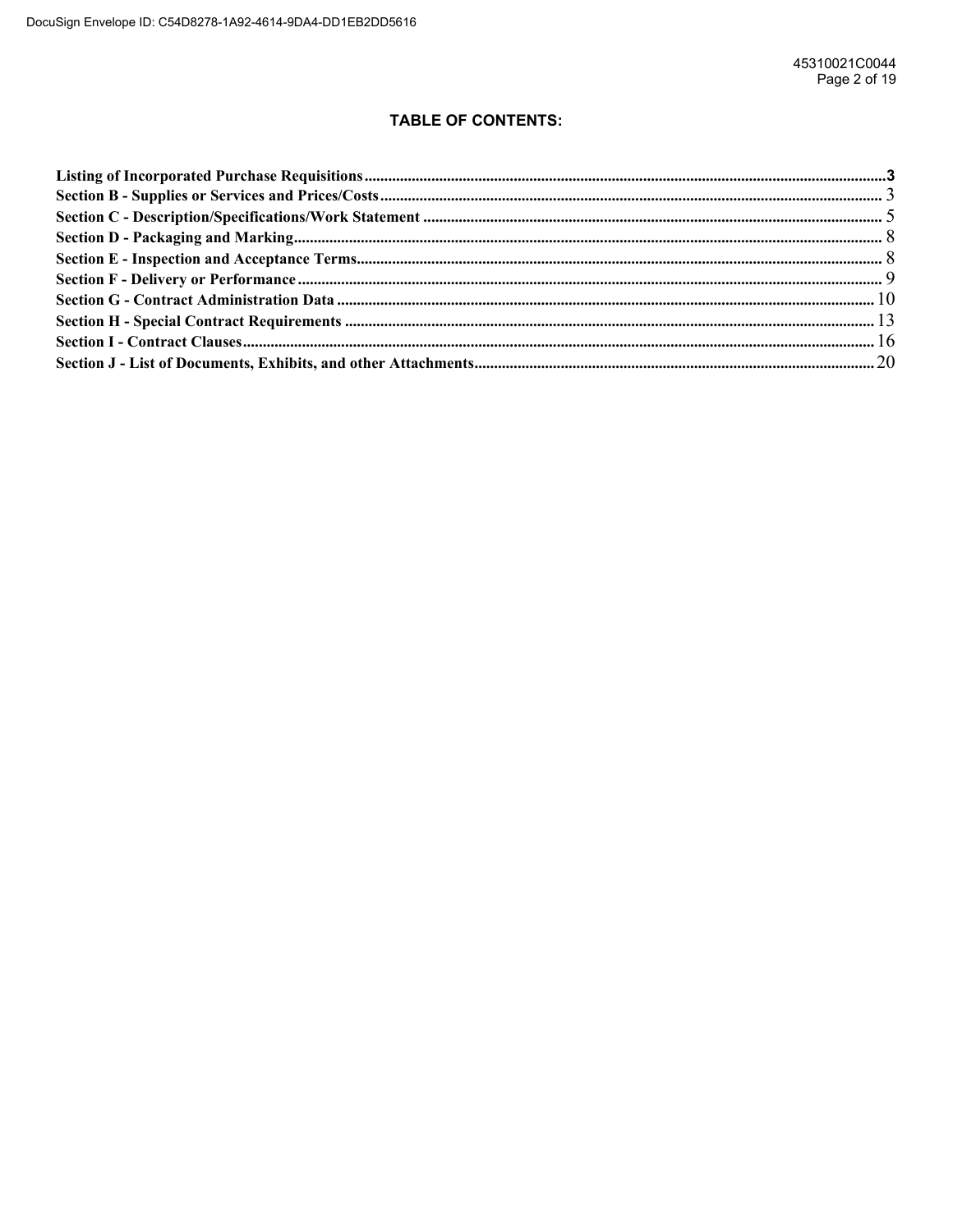### **TABLE OF CONTENTS:**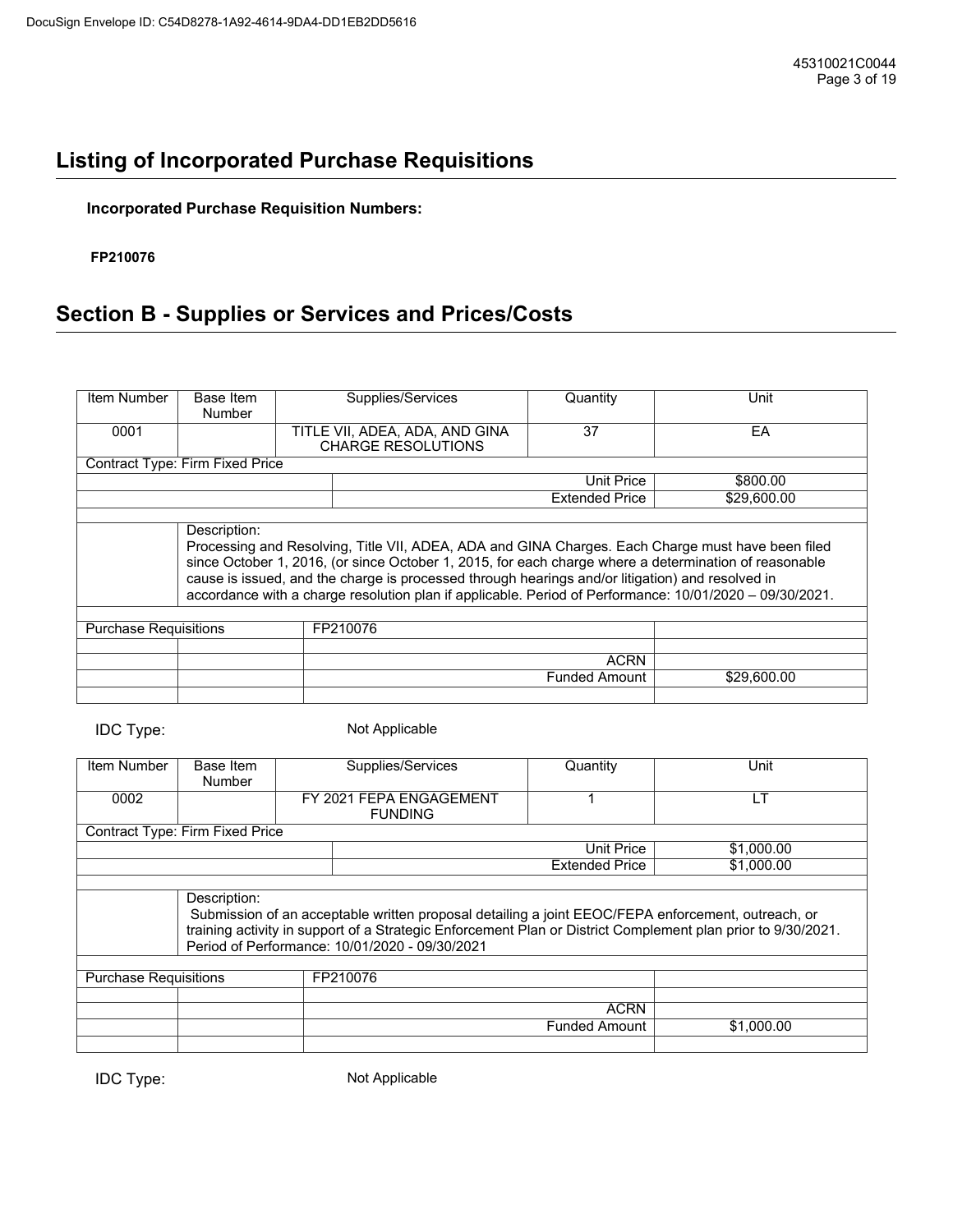# **Listing of Incorporated Purchase Requisitions**

**Incorporated Purchase Requisition Numbers:**

**FP210076**

# **Section B - Supplies or Services and Prices/Costs**

| Item Number                  | Base Item                              | Supplies/Services                                                                                       | Quantity              | Unit        |
|------------------------------|----------------------------------------|---------------------------------------------------------------------------------------------------------|-----------------------|-------------|
|                              | <b>Number</b>                          |                                                                                                         |                       |             |
| 0001                         |                                        | TITLE VII, ADEA, ADA, AND GINA                                                                          | 37                    | EA          |
|                              |                                        | <b>CHARGE RESOLUTIONS</b>                                                                               |                       |             |
|                              | <b>Contract Type: Firm Fixed Price</b> |                                                                                                         |                       |             |
|                              |                                        |                                                                                                         |                       |             |
|                              |                                        |                                                                                                         | Unit Price            | \$800.00    |
|                              |                                        |                                                                                                         | <b>Extended Price</b> | \$29,600.00 |
|                              |                                        |                                                                                                         |                       |             |
|                              | Description:                           |                                                                                                         |                       |             |
|                              |                                        | Processing and Resolving, Title VII, ADEA, ADA and GINA Charges. Each Charge must have been filed       |                       |             |
|                              |                                        | since October 1, 2016, (or since October 1, 2015, for each charge where a determination of reasonable   |                       |             |
|                              |                                        | cause is issued, and the charge is processed through hearings and/or litigation) and resolved in        |                       |             |
|                              |                                        |                                                                                                         |                       |             |
|                              |                                        | accordance with a charge resolution plan if applicable. Period of Performance: 10/01/2020 - 09/30/2021. |                       |             |
|                              |                                        |                                                                                                         |                       |             |
| <b>Purchase Requisitions</b> |                                        | FP210076                                                                                                |                       |             |
|                              |                                        |                                                                                                         |                       |             |
|                              |                                        |                                                                                                         | <b>ACRN</b>           |             |
|                              |                                        |                                                                                                         | <b>Funded Amount</b>  | \$29,600.00 |
|                              |                                        |                                                                                                         |                       |             |
|                              |                                        |                                                                                                         |                       |             |
|                              |                                        |                                                                                                         |                       |             |
| IDC Type:                    |                                        | Not Applicable                                                                                          |                       |             |
|                              |                                        |                                                                                                         |                       |             |
| Item Number                  | Base Item                              | Supplies/Services                                                                                       | Quantity              | Unit        |
|                              |                                        |                                                                                                         |                       |             |
|                              | <b>Number</b>                          |                                                                                                         |                       |             |
| 0002                         |                                        | FY 2021 FEPA ENGAGEMENT                                                                                 | 1                     | LT          |
|                              |                                        | <b>FUNDING</b>                                                                                          |                       |             |
|                              | <b>Contract Type: Firm Fixed Price</b> |                                                                                                         |                       |             |
|                              |                                        |                                                                                                         | <b>Unit Price</b>     | \$1,000.00  |
|                              |                                        |                                                                                                         | <b>Extended Price</b> | \$1,000,00  |

|                              |              | <b>Extended Price</b>                                                                                        | \$1.000.00 |
|------------------------------|--------------|--------------------------------------------------------------------------------------------------------------|------------|
|                              |              |                                                                                                              |            |
|                              | Description: |                                                                                                              |            |
|                              |              | Submission of an acceptable written proposal detailing a joint EEOC/FEPA enforcement, outreach, or           |            |
|                              |              | training activity in support of a Strategic Enforcement Plan or District Complement plan prior to 9/30/2021. |            |
|                              |              | Period of Performance: 10/01/2020 - 09/30/2021                                                               |            |
|                              |              |                                                                                                              |            |
| <b>Purchase Requisitions</b> |              | FP210076                                                                                                     |            |
|                              |              |                                                                                                              |            |
|                              |              | <b>ACRN</b>                                                                                                  |            |
|                              |              | <b>Funded Amount</b>                                                                                         | \$1,000.00 |
|                              |              |                                                                                                              |            |

IDC Type: Not Applicable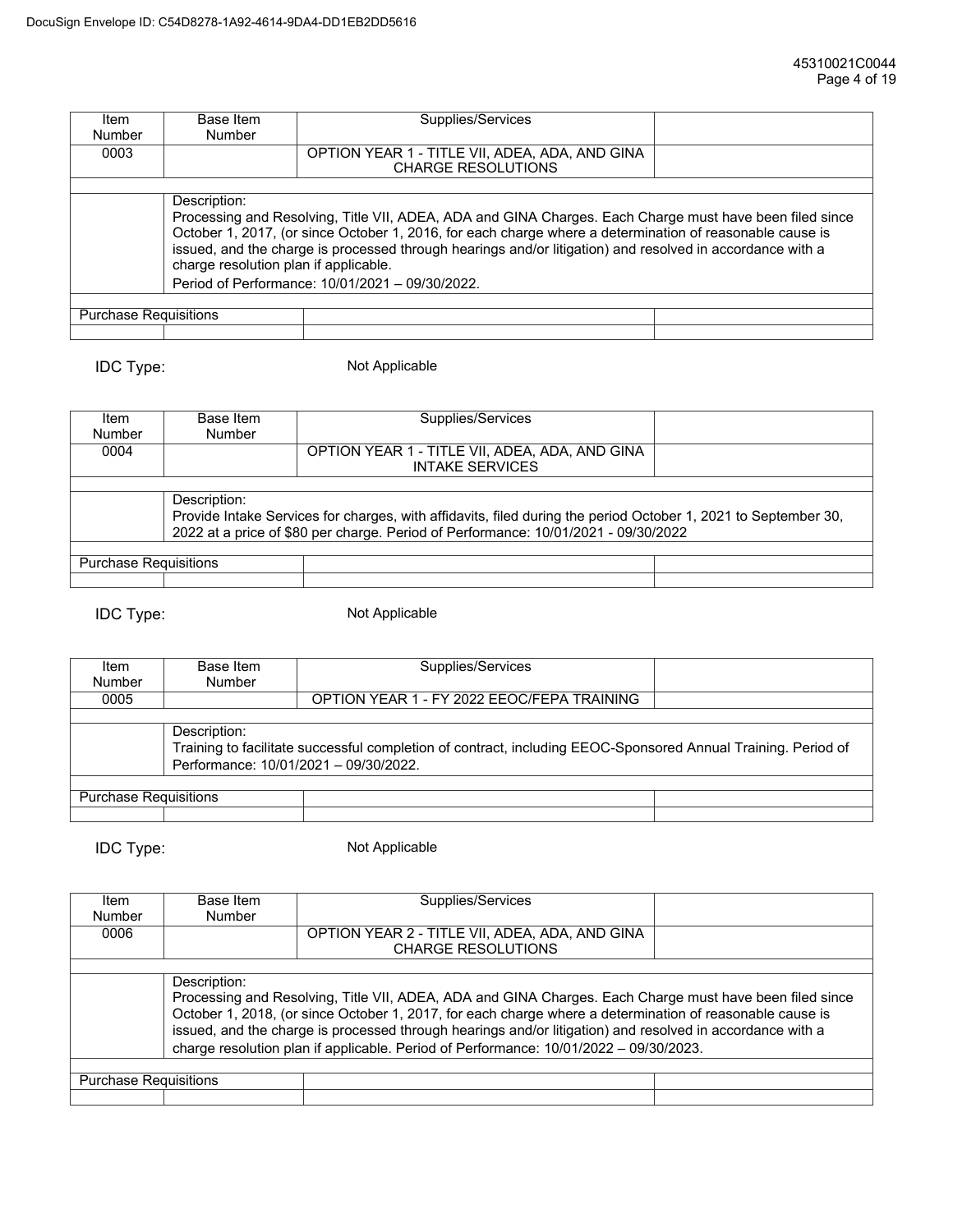| Item<br>Number               | <b>Base Item</b><br><b>Number</b>                                                                                                                                                                                                                                                                                                                                                                                                            | Supplies/Services                                                           |  |  |  |
|------------------------------|----------------------------------------------------------------------------------------------------------------------------------------------------------------------------------------------------------------------------------------------------------------------------------------------------------------------------------------------------------------------------------------------------------------------------------------------|-----------------------------------------------------------------------------|--|--|--|
| 0003                         |                                                                                                                                                                                                                                                                                                                                                                                                                                              | OPTION YEAR 1 - TITLE VII, ADEA, ADA, AND GINA<br><b>CHARGE RESOLUTIONS</b> |  |  |  |
|                              |                                                                                                                                                                                                                                                                                                                                                                                                                                              |                                                                             |  |  |  |
|                              | Description:<br>Processing and Resolving, Title VII, ADEA, ADA and GINA Charges. Each Charge must have been filed since<br>October 1, 2017, (or since October 1, 2016, for each charge where a determination of reasonable cause is<br>issued, and the charge is processed through hearings and/or litigation) and resolved in accordance with a<br>charge resolution plan if applicable.<br>Period of Performance: 10/01/2021 - 09/30/2022. |                                                                             |  |  |  |
|                              |                                                                                                                                                                                                                                                                                                                                                                                                                                              |                                                                             |  |  |  |
| <b>Purchase Requisitions</b> |                                                                                                                                                                                                                                                                                                                                                                                                                                              |                                                                             |  |  |  |
|                              |                                                                                                                                                                                                                                                                                                                                                                                                                                              |                                                                             |  |  |  |

IDC Type: Not Applicable

| Item<br><b>Number</b>        | Base Item<br>Number                                                                                                                                                                                                  | Supplies/Services                                                        |  |  |  |
|------------------------------|----------------------------------------------------------------------------------------------------------------------------------------------------------------------------------------------------------------------|--------------------------------------------------------------------------|--|--|--|
| 0004                         |                                                                                                                                                                                                                      | OPTION YEAR 1 - TITLE VII, ADEA, ADA, AND GINA<br><b>INTAKE SERVICES</b> |  |  |  |
|                              | Description:<br>Provide Intake Services for charges, with affidavits, filed during the period October 1, 2021 to September 30,<br>2022 at a price of \$80 per charge. Period of Performance: 10/01/2021 - 09/30/2022 |                                                                          |  |  |  |
| <b>Purchase Requisitions</b> |                                                                                                                                                                                                                      |                                                                          |  |  |  |

IDC Type: Not Applicable

| Item<br><b>Number</b>        | Base Item<br><b>Number</b>                                                                                    | Supplies/Services                          |  |  |  |  |
|------------------------------|---------------------------------------------------------------------------------------------------------------|--------------------------------------------|--|--|--|--|
| 0005                         |                                                                                                               | OPTION YEAR 1 - FY 2022 EEOC/FEPA TRAINING |  |  |  |  |
|                              |                                                                                                               |                                            |  |  |  |  |
|                              | Description:                                                                                                  |                                            |  |  |  |  |
|                              | Training to facilitate successful completion of contract, including EEOC-Sponsored Annual Training. Period of |                                            |  |  |  |  |
|                              | Performance: 10/01/2021 - 09/30/2022.                                                                         |                                            |  |  |  |  |
|                              |                                                                                                               |                                            |  |  |  |  |
| <b>Purchase Requisitions</b> |                                                                                                               |                                            |  |  |  |  |
|                              |                                                                                                               |                                            |  |  |  |  |

IDC Type: Not Applicable

| Item                         | Base Item                                                                                                 | Supplies/Services                                                           |  |  |  |  |
|------------------------------|-----------------------------------------------------------------------------------------------------------|-----------------------------------------------------------------------------|--|--|--|--|
| <b>Number</b>                | <b>Number</b>                                                                                             |                                                                             |  |  |  |  |
| 0006                         |                                                                                                           | OPTION YEAR 2 - TITLE VII, ADEA, ADA, AND GINA<br><b>CHARGE RESOLUTIONS</b> |  |  |  |  |
|                              |                                                                                                           |                                                                             |  |  |  |  |
|                              | Description:                                                                                              |                                                                             |  |  |  |  |
|                              | Processing and Resolving, Title VII, ADEA, ADA and GINA Charges. Each Charge must have been filed since   |                                                                             |  |  |  |  |
|                              | October 1, 2018, (or since October 1, 2017, for each charge where a determination of reasonable cause is  |                                                                             |  |  |  |  |
|                              | issued, and the charge is processed through hearings and/or litigation) and resolved in accordance with a |                                                                             |  |  |  |  |
|                              | charge resolution plan if applicable. Period of Performance: 10/01/2022 - 09/30/2023.                     |                                                                             |  |  |  |  |
|                              |                                                                                                           |                                                                             |  |  |  |  |
| <b>Purchase Requisitions</b> |                                                                                                           |                                                                             |  |  |  |  |
|                              |                                                                                                           |                                                                             |  |  |  |  |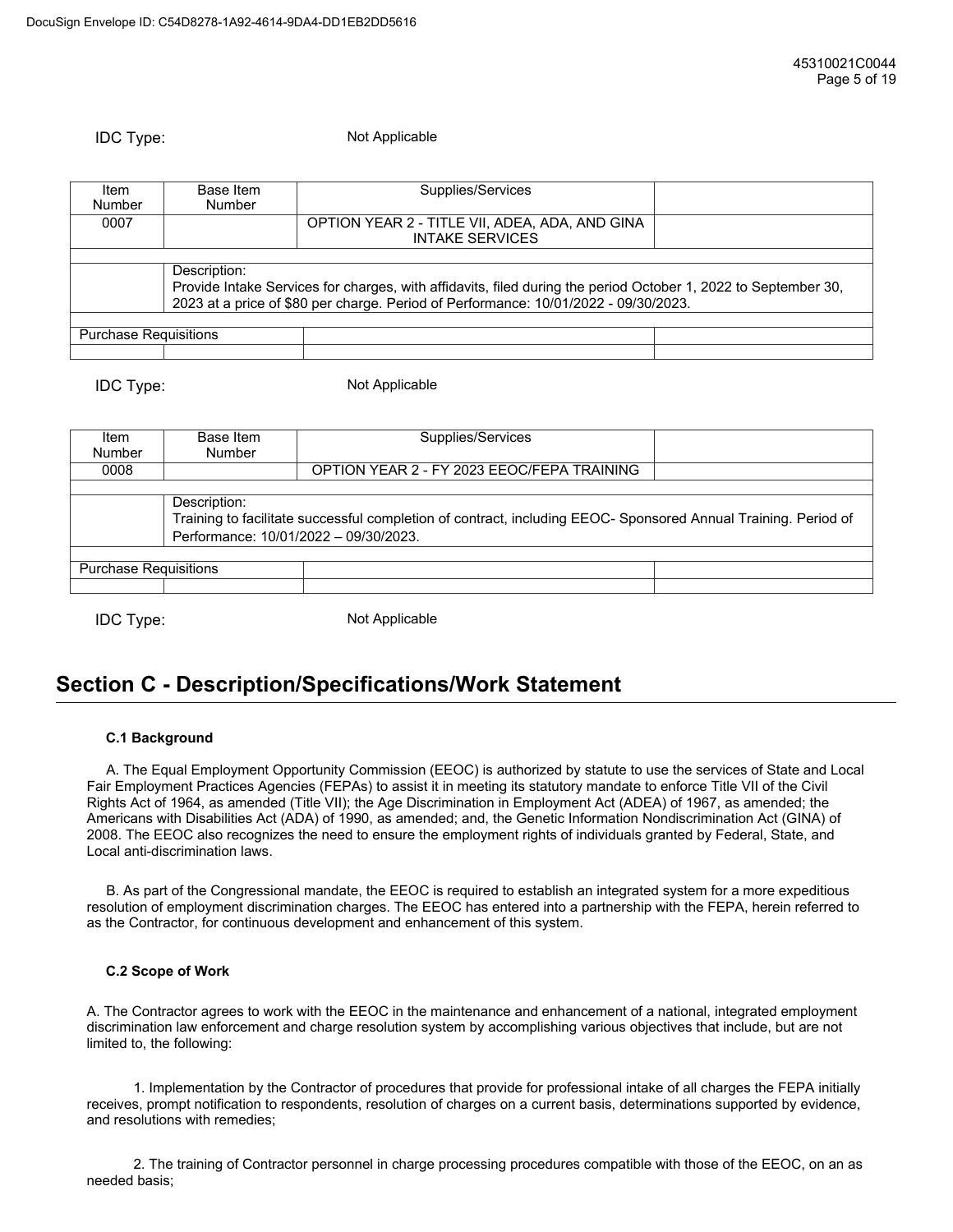**IDC Type:** Not Applicable

| Item<br>Number               | Base Item<br><b>Number</b>                                                                                     | Supplies/Services                                                        |  |  |  |
|------------------------------|----------------------------------------------------------------------------------------------------------------|--------------------------------------------------------------------------|--|--|--|
| 0007                         |                                                                                                                | OPTION YEAR 2 - TITLE VII, ADEA, ADA, AND GINA<br><b>INTAKE SERVICES</b> |  |  |  |
|                              |                                                                                                                |                                                                          |  |  |  |
|                              | Description:                                                                                                   |                                                                          |  |  |  |
|                              | Provide Intake Services for charges, with affidavits, filed during the period October 1, 2022 to September 30, |                                                                          |  |  |  |
|                              | 2023 at a price of \$80 per charge. Period of Performance: 10/01/2022 - 09/30/2023.                            |                                                                          |  |  |  |
|                              |                                                                                                                |                                                                          |  |  |  |
| <b>Purchase Requisitions</b> |                                                                                                                |                                                                          |  |  |  |
|                              |                                                                                                                |                                                                          |  |  |  |

IDC Type: Not Applicable

| Item                         | Base Item                                                                                                      | Supplies/Services                          |  |  |  |
|------------------------------|----------------------------------------------------------------------------------------------------------------|--------------------------------------------|--|--|--|
| Number                       | <b>Number</b>                                                                                                  |                                            |  |  |  |
| 0008                         |                                                                                                                | OPTION YEAR 2 - FY 2023 EEOC/FEPA TRAINING |  |  |  |
|                              |                                                                                                                |                                            |  |  |  |
|                              | Description:                                                                                                   |                                            |  |  |  |
|                              | Training to facilitate successful completion of contract, including EEOC- Sponsored Annual Training. Period of |                                            |  |  |  |
|                              | Performance: 10/01/2022 - 09/30/2023.                                                                          |                                            |  |  |  |
|                              |                                                                                                                |                                            |  |  |  |
| <b>Purchase Requisitions</b> |                                                                                                                |                                            |  |  |  |
|                              |                                                                                                                |                                            |  |  |  |
|                              |                                                                                                                |                                            |  |  |  |

**IDC Type:** Not Applicable

## **Section C - Description/Specifications/Work Statement**

#### **C.1 Background**

A. The Equal Employment Opportunity Commission (EEOC) is authorized by statute to use the services of State and Local Fair Employment Practices Agencies (FEPAs) to assist it in meeting its statutory mandate to enforce Title VII of the Civil Rights Act of 1964, as amended (Title VII); the Age Discrimination in Employment Act (ADEA) of 1967, as amended; the Americans with Disabilities Act (ADA) of 1990, as amended; and, the Genetic Information Nondiscrimination Act (GINA) of 2008. The EEOC also recognizes the need to ensure the employment rights of individuals granted by Federal, State, and Local anti-discrimination laws.

B. As part of the Congressional mandate, the EEOC is required to establish an integrated system for a more expeditious resolution of employment discrimination charges. The EEOC has entered into a partnership with the FEPA, herein referred to as the Contractor, for continuous development and enhancement of this system.

#### **C.2 Scope of Work**

A. The Contractor agrees to work with the EEOC in the maintenance and enhancement of a national, integrated employment discrimination law enforcement and charge resolution system by accomplishing various objectives that include, but are not limited to, the following:

1. Implementation by the Contractor of procedures that provide for professional intake of all charges the FEPA initially receives, prompt notification to respondents, resolution of charges on a current basis, determinations supported by evidence, and resolutions with remedies;

2. The training of Contractor personnel in charge processing procedures compatible with those of the EEOC, on an as needed basis;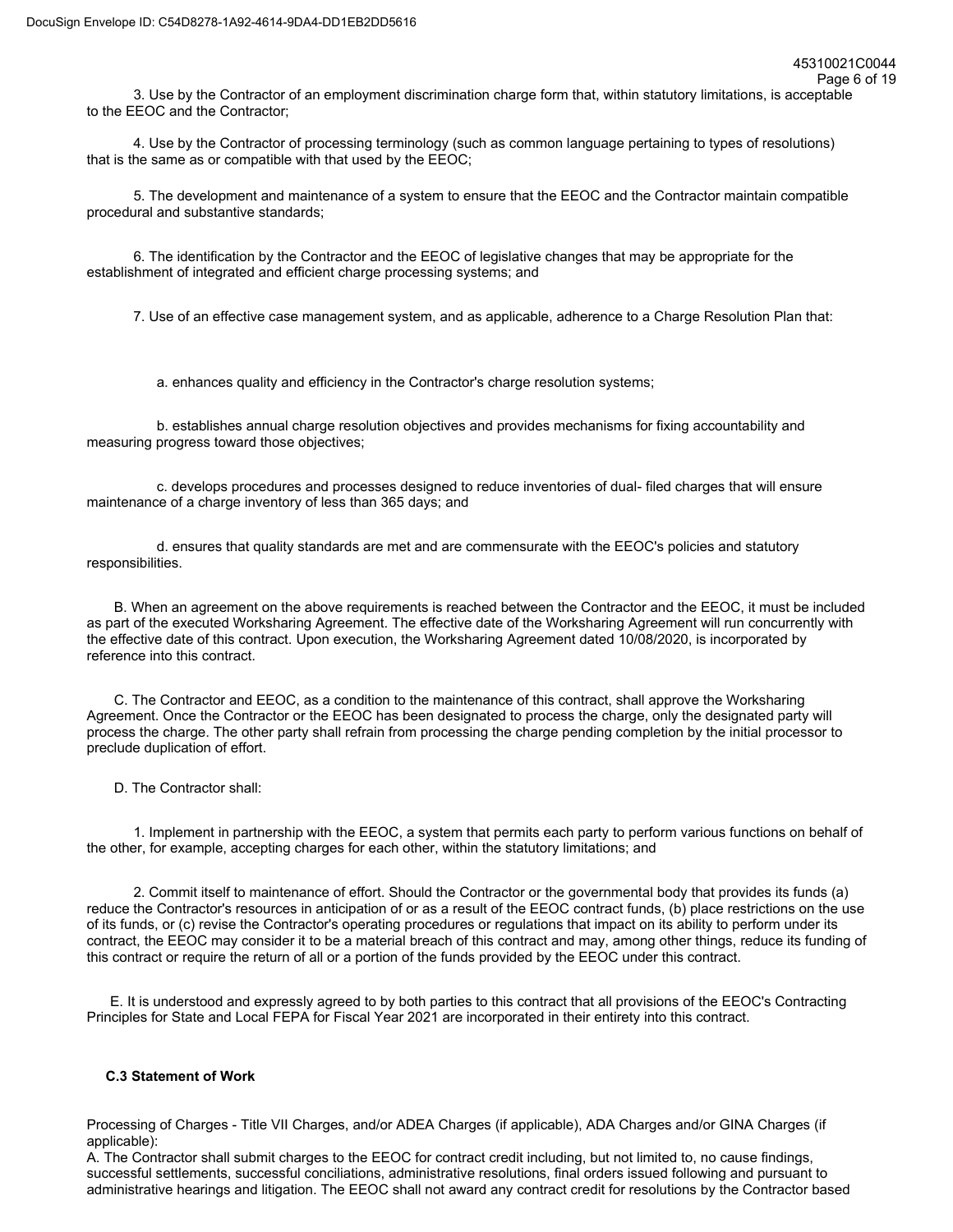3. Use by the Contractor of an employment discrimination charge form that, within statutory limitations, is acceptable to the EEOC and the Contractor;

4. Use by the Contractor of processing terminology (such as common language pertaining to types of resolutions) that is the same as or compatible with that used by the EEOC;

5. The development and maintenance of a system to ensure that the EEOC and the Contractor maintain compatible procedural and substantive standards;

6. The identification by the Contractor and the EEOC of legislative changes that may be appropriate for the establishment of integrated and efficient charge processing systems; and

7. Use of an effective case management system, and as applicable, adherence to a Charge Resolution Plan that:

a. enhances quality and efficiency in the Contractor's charge resolution systems;

b. establishes annual charge resolution objectives and provides mechanisms for fixing accountability and measuring progress toward those objectives;

c. develops procedures and processes designed to reduce inventories of dual- filed charges that will ensure maintenance of a charge inventory of less than 365 days; and

d. ensures that quality standards are met and are commensurate with the EEOC's policies and statutory responsibilities.

B. When an agreement on the above requirements is reached between the Contractor and the EEOC, it must be included as part of the executed Worksharing Agreement. The effective date of the Worksharing Agreement will run concurrently with the effective date of this contract. Upon execution, the Worksharing Agreement dated 10/08/2020, is incorporated by reference into this contract.

C. The Contractor and EEOC, as a condition to the maintenance of this contract, shall approve the Worksharing Agreement. Once the Contractor or the EEOC has been designated to process the charge, only the designated party will process the charge. The other party shall refrain from processing the charge pending completion by the initial processor to preclude duplication of effort.

D. The Contractor shall:

1. Implement in partnership with the EEOC, a system that permits each party to perform various functions on behalf of the other, for example, accepting charges for each other, within the statutory limitations; and

2. Commit itself to maintenance of effort. Should the Contractor or the governmental body that provides its funds (a) reduce the Contractor's resources in anticipation of or as a result of the EEOC contract funds, (b) place restrictions on the use of its funds, or (c) revise the Contractor's operating procedures or regulations that impact on its ability to perform under its contract, the EEOC may consider it to be a material breach of this contract and may, among other things, reduce its funding of this contract or require the return of all or a portion of the funds provided by the EEOC under this contract.

E. It is understood and expressly agreed to by both parties to this contract that all provisions of the EEOC's Contracting Principles for State and Local FEPA for Fiscal Year 2021 are incorporated in their entirety into this contract.

#### **C.3 Statement of Work**

Processing of Charges - Title VII Charges, and/or ADEA Charges (if applicable), ADA Charges and/or GINA Charges (if applicable):

A. The Contractor shall submit charges to the EEOC for contract credit including, but not limited to, no cause findings, successful settlements, successful conciliations, administrative resolutions, final orders issued following and pursuant to administrative hearings and litigation. The EEOC shall not award any contract credit for resolutions by the Contractor based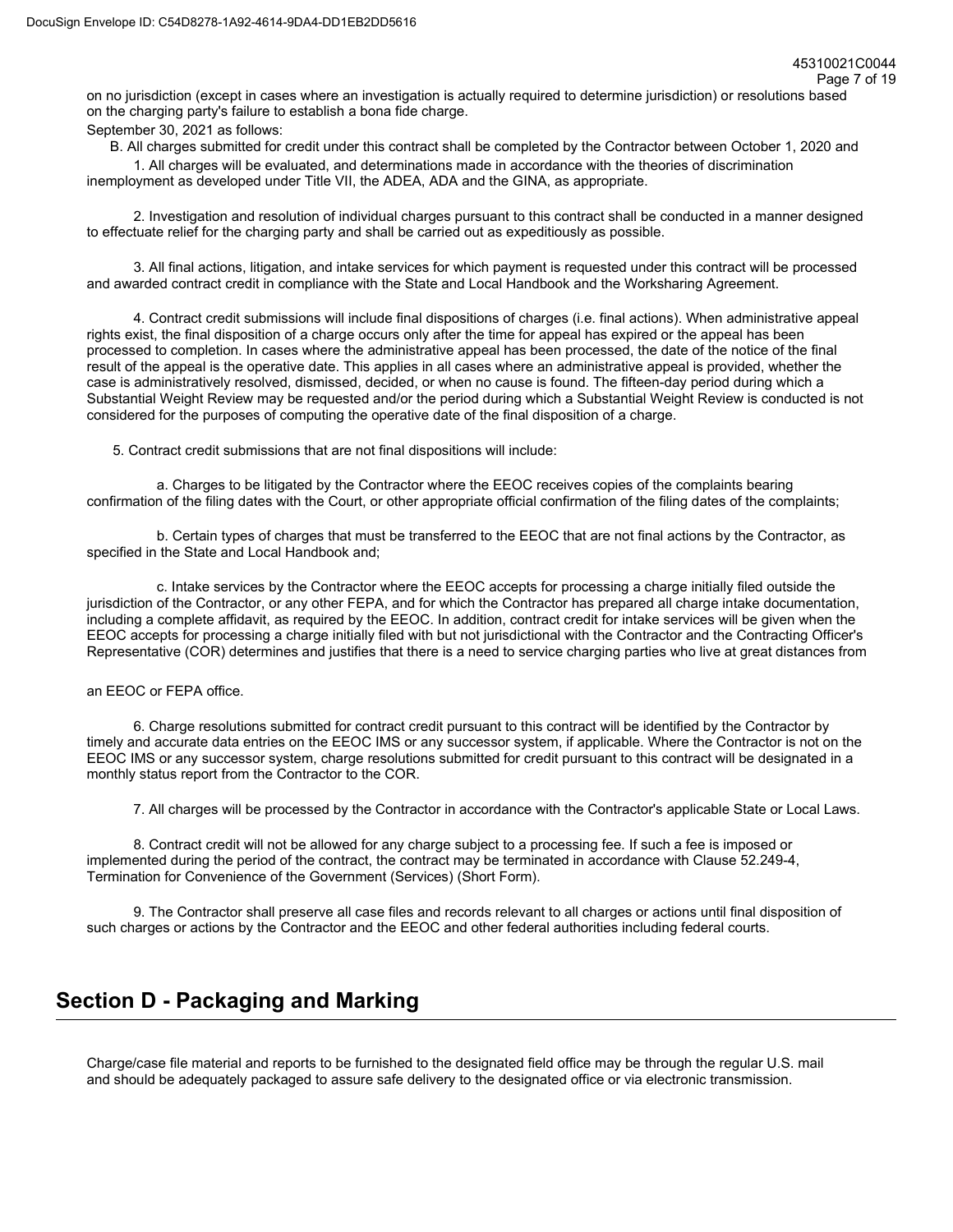45310021C0044 Page 7 of 19

```
on no jurisdiction (except in cases where an investigation is actually required to determine jurisdiction) or resolutions based
on the charging party's failure to establish a bona fide charge.
```
September 30, 2021 as follows:

B. All charges submitted for credit under this contract shall be completed by the Contractor between October 1, 2020 and

1. All charges will be evaluated, and determinations made in accordance with the theories of discrimination inemployment as developed under Title VII, the ADEA, ADA and the GINA, as appropriate.

2. Investigation and resolution of individual charges pursuant to this contract shall be conducted in a manner designed to effectuate relief for the charging party and shall be carried out as expeditiously as possible.

3. All final actions, litigation, and intake services for which payment is requested under this contract will be processed and awarded contract credit in compliance with the State and Local Handbook and the Worksharing Agreement.

4. Contract credit submissions will include final dispositions of charges (i.e. final actions). When administrative appeal rights exist, the final disposition of a charge occurs only after the time for appeal has expired or the appeal has been processed to completion. In cases where the administrative appeal has been processed, the date of the notice of the final result of the appeal is the operative date. This applies in all cases where an administrative appeal is provided, whether the case is administratively resolved, dismissed, decided, or when no cause is found. The fifteen-day period during which a Substantial Weight Review may be requested and/or the period during which a Substantial Weight Review is conducted is not considered for the purposes of computing the operative date of the final disposition of a charge.

5. Contract credit submissions that are not final dispositions will include:

a. Charges to be litigated by the Contractor where the EEOC receives copies of the complaints bearing confirmation of the filing dates with the Court, or other appropriate official confirmation of the filing dates of the complaints;

b. Certain types of charges that must be transferred to the EEOC that are not final actions by the Contractor, as specified in the State and Local Handbook and;

c. Intake services by the Contractor where the EEOC accepts for processing a charge initially filed outside the jurisdiction of the Contractor, or any other FEPA, and for which the Contractor has prepared all charge intake documentation, including a complete affidavit, as required by the EEOC. In addition, contract credit for intake services will be given when the EEOC accepts for processing a charge initially filed with but not jurisdictional with the Contractor and the Contracting Officer's Representative (COR) determines and justifies that there is a need to service charging parties who live at great distances from

an EEOC or FEPA office.

6. Charge resolutions submitted for contract credit pursuant to this contract will be identified by the Contractor by timely and accurate data entries on the EEOC IMS or any successor system, if applicable. Where the Contractor is not on the EEOC IMS or any successor system, charge resolutions submitted for credit pursuant to this contract will be designated in a monthly status report from the Contractor to the COR.

7. All charges will be processed by the Contractor in accordance with the Contractor's applicable State or Local Laws.

8. Contract credit will not be allowed for any charge subject to a processing fee. If such a fee is imposed or implemented during the period of the contract, the contract may be terminated in accordance with Clause 52.249-4, Termination for Convenience of the Government (Services) (Short Form).

9. The Contractor shall preserve all case files and records relevant to all charges or actions until final disposition of such charges or actions by the Contractor and the EEOC and other federal authorities including federal courts.

### **Section D - Packaging and Marking**

Charge/case file material and reports to be furnished to the designated field office may be through the regular U.S. mail and should be adequately packaged to assure safe delivery to the designated office or via electronic transmission.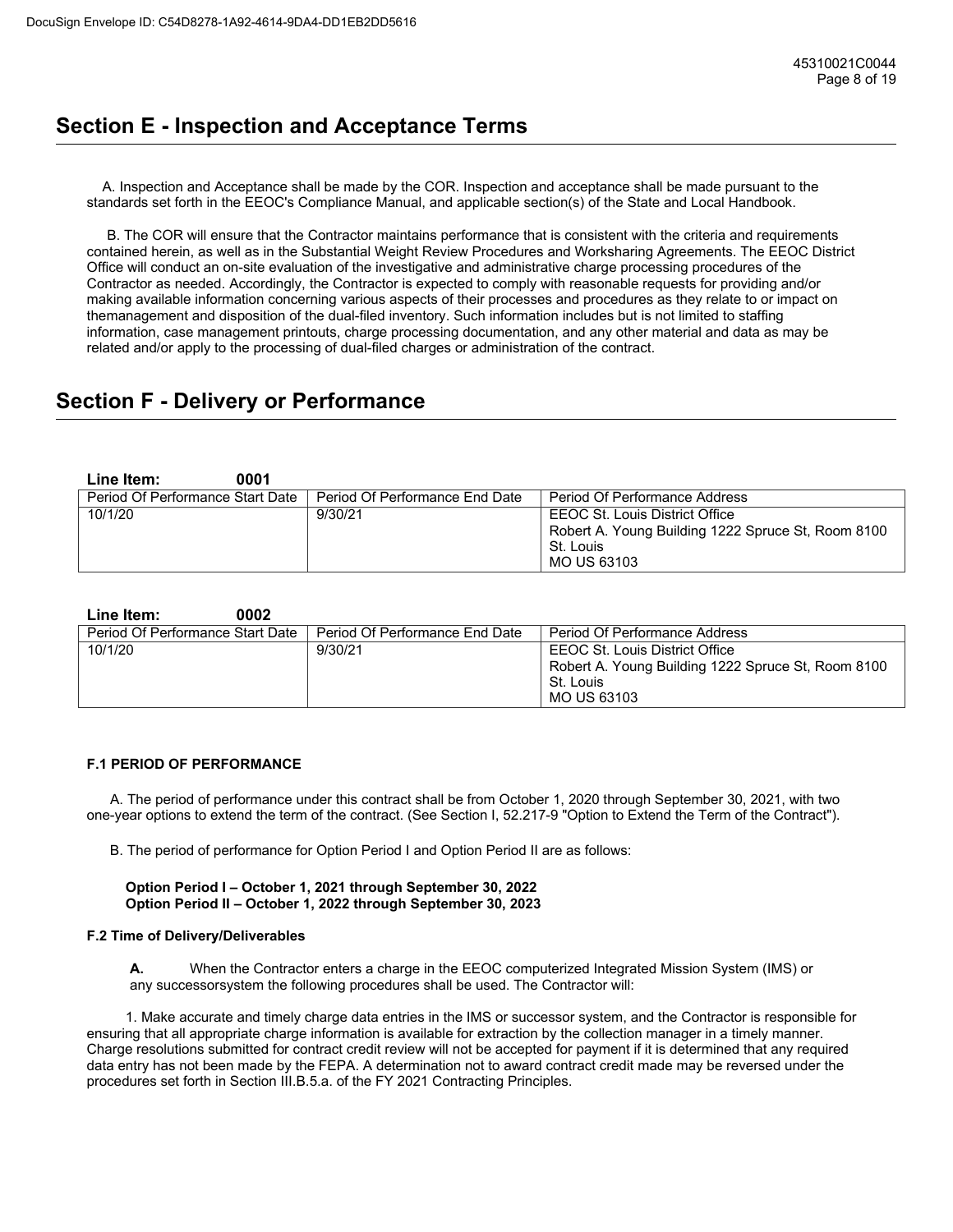### **Section E - Inspection and Acceptance Terms**

A. Inspection and Acceptance shall be made by the COR. Inspection and acceptance shall be made pursuant to the standards set forth in the EEOC's Compliance Manual, and applicable section(s) of the State and Local Handbook.

B. The COR will ensure that the Contractor maintains performance that is consistent with the criteria and requirements contained herein, as well as in the Substantial Weight Review Procedures and Worksharing Agreements. The EEOC District Office will conduct an on-site evaluation of the investigative and administrative charge processing procedures of the Contractor as needed. Accordingly, the Contractor is expected to comply with reasonable requests for providing and/or making available information concerning various aspects of their processes and procedures as they relate to or impact on themanagement and disposition of the dual-filed inventory. Such information includes but is not limited to staffing information, case management printouts, charge processing documentation, and any other material and data as may be related and/or apply to the processing of dual-filed charges or administration of the contract.

### **Section F - Delivery or Performance**

| 0001<br>Line Item:               |                                |                                                                                                                  |
|----------------------------------|--------------------------------|------------------------------------------------------------------------------------------------------------------|
| Period Of Performance Start Date | Period Of Performance End Date | Period Of Performance Address                                                                                    |
| 10/1/20                          | 9/30/21                        | EEOC St. Louis District Office<br>Robert A. Young Building 1222 Spruce St, Room 8100<br>St. Louis<br>MO US 63103 |

#### **Line Item: 0002**

| Period Of Performance Start Date | Period Of Performance End Date | Period Of Performance Address                                                                                    |
|----------------------------------|--------------------------------|------------------------------------------------------------------------------------------------------------------|
| 10/1/20                          | 9/30/21                        | EEOC St. Louis District Office<br>Robert A. Young Building 1222 Spruce St, Room 8100<br>St. Louis<br>MO US 63103 |

#### **F.1 PERIOD OF PERFORMANCE**

A. The period of performance under this contract shall be from October 1, 2020 through September 30, 2021, with two one-year options to extend the term of the contract. (See Section I, 52.217-9 "Option to Extend the Term of the Contract").

B. The period of performance for Option Period I and Option Period II are as follows:

#### **Option Period I – October 1, 2021 through September 30, 2022 Option Period II – October 1, 2022 through September 30, 2023**

#### **F.2 Time of Delivery/Deliverables**

**A.** When the Contractor enters a charge in the EEOC computerized Integrated Mission System (IMS) or any successorsystem the following procedures shall be used. The Contractor will:

1. Make accurate and timely charge data entries in the IMS or successor system, and the Contractor is responsible for ensuring that all appropriate charge information is available for extraction by the collection manager in a timely manner. Charge resolutions submitted for contract credit review will not be accepted for payment if it is determined that any required data entry has not been made by the FEPA. A determination not to award contract credit made may be reversed under the procedures set forth in Section III.B.5.a. of the FY 2021 Contracting Principles.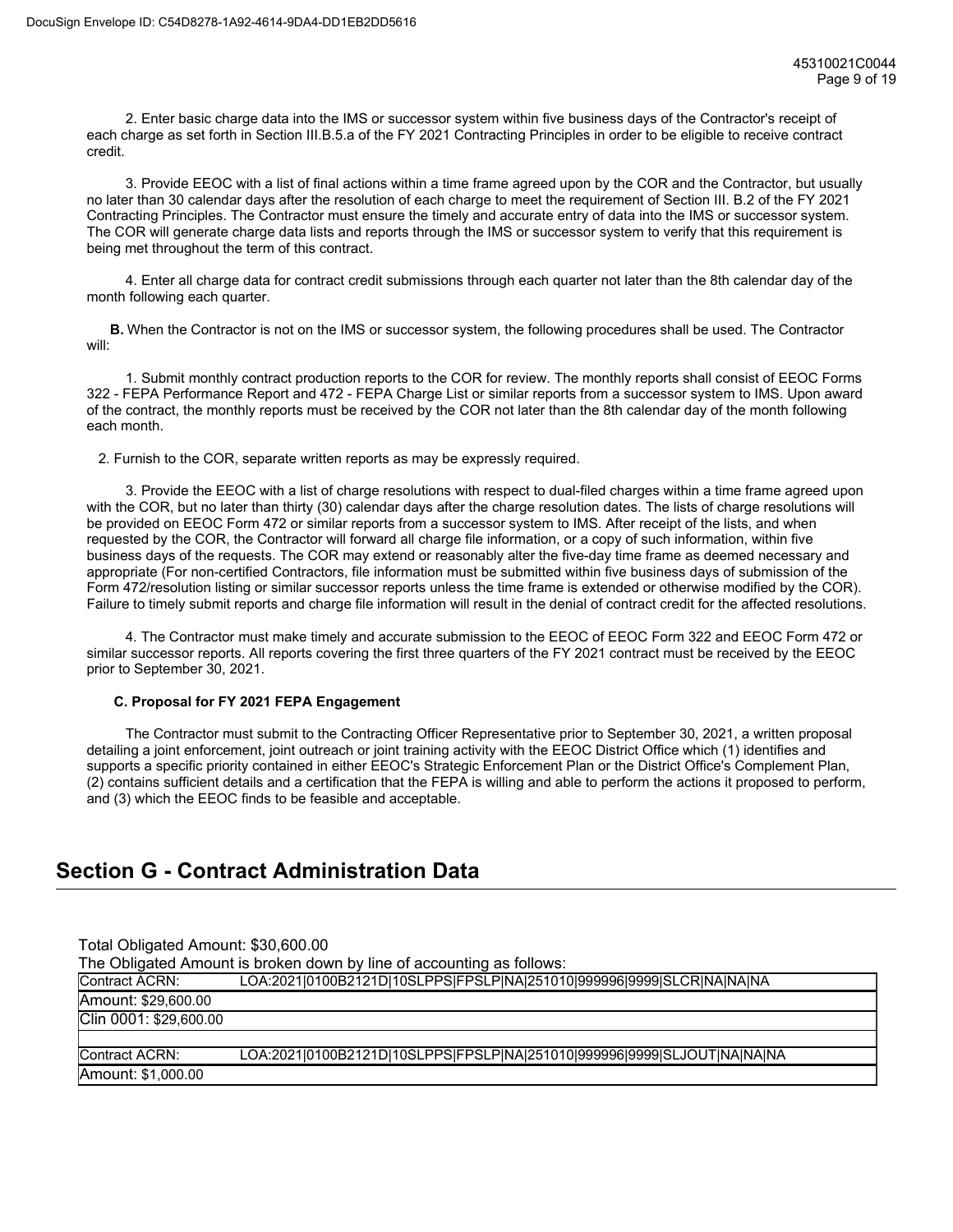2. Enter basic charge data into the IMS or successor system within five business days of the Contractor's receipt of each charge as set forth in Section III.B.5.a of the FY 2021 Contracting Principles in order to be eligible to receive contract credit.

3. Provide EEOC with a list of final actions within a time frame agreed upon by the COR and the Contractor, but usually no later than 30 calendar days after the resolution of each charge to meet the requirement of Section III. B.2 of the FY 2021 Contracting Principles. The Contractor must ensure the timely and accurate entry of data into the IMS or successor system. The COR will generate charge data lists and reports through the IMS or successor system to verify that this requirement is being met throughout the term of this contract.

4. Enter all charge data for contract credit submissions through each quarter not later than the 8th calendar day of the month following each quarter.

**B.** When the Contractor is not on the IMS or successor system, the following procedures shall be used. The Contractor will:

1. Submit monthly contract production reports to the COR for review. The monthly reports shall consist of EEOC Forms 322 - FEPA Performance Report and 472 - FEPA Charge List or similar reports from a successor system to IMS. Upon award of the contract, the monthly reports must be received by the COR not later than the 8th calendar day of the month following each month.

2. Furnish to the COR, separate written reports as may be expressly required.

3. Provide the EEOC with a list of charge resolutions with respect to dual-filed charges within a time frame agreed upon with the COR, but no later than thirty (30) calendar days after the charge resolution dates. The lists of charge resolutions will be provided on EEOC Form 472 or similar reports from a successor system to IMS. After receipt of the lists, and when requested by the COR, the Contractor will forward all charge file information, or a copy of such information, within five business days of the requests. The COR may extend or reasonably alter the five-day time frame as deemed necessary and appropriate (For non-certified Contractors, file information must be submitted within five business days of submission of the Form 472/resolution listing or similar successor reports unless the time frame is extended or otherwise modified by the COR). Failure to timely submit reports and charge file information will result in the denial of contract credit for the affected resolutions.

4. The Contractor must make timely and accurate submission to the EEOC of EEOC Form 322 and EEOC Form 472 or similar successor reports. All reports covering the first three quarters of the FY 2021 contract must be received by the EEOC prior to September 30, 2021.

#### **C. Proposal for FY 2021 FEPA Engagement**

The Contractor must submit to the Contracting Officer Representative prior to September 30, 2021, a written proposal detailing a joint enforcement, joint outreach or joint training activity with the EEOC District Office which (1) identifies and supports a specific priority contained in either EEOC's Strategic Enforcement Plan or the District Office's Complement Plan, (2) contains sufficient details and a certification that the FEPA is willing and able to perform the actions it proposed to perform, and (3) which the EEOC finds to be feasible and acceptable.

### **Section G - Contract Administration Data**

| Total Obligated Amount: \$30,600.00 | The Obligated Amount is broken down by line of accounting as follows:   |
|-------------------------------------|-------------------------------------------------------------------------|
| Contract ACRN:                      | LOA:2021 0100B2121D 10SLPPS FPSLP NA 251010 999996 9999 SLCR NA NA NA   |
| Amount: \$29,600.00                 |                                                                         |
| Clin 0001: \$29,600.00              |                                                                         |
|                                     |                                                                         |
| Contract ACRN:                      | LOA:2021 0100B2121D 10SLPPS FPSLP NA 251010 999996 9999 SLJOUT NA NA NA |
| Amount: \$1,000.00                  |                                                                         |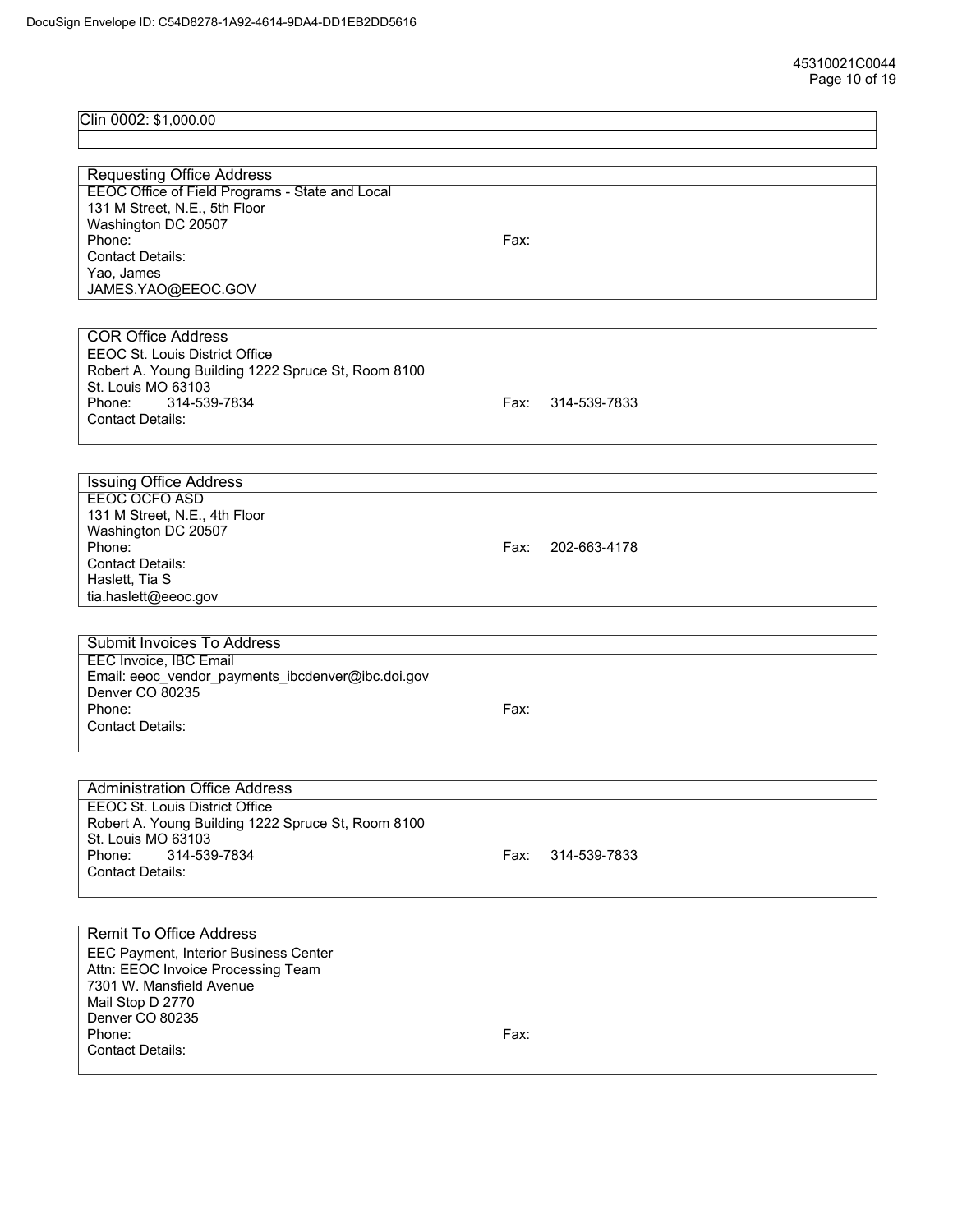| Clin 0002: \$1,000.00                                                |                      |  |  |
|----------------------------------------------------------------------|----------------------|--|--|
|                                                                      |                      |  |  |
| <b>Requesting Office Address</b>                                     |                      |  |  |
| <b>EEOC Office of Field Programs - State and Local</b>               |                      |  |  |
| 131 M Street, N.E., 5th Floor                                        |                      |  |  |
| Washington DC 20507                                                  |                      |  |  |
| Phone:                                                               | Fax:                 |  |  |
| <b>Contact Details:</b>                                              |                      |  |  |
| Yao, James                                                           |                      |  |  |
| JAMES.YAO@EEOC.GOV                                                   |                      |  |  |
|                                                                      |                      |  |  |
| <b>COR Office Address</b>                                            |                      |  |  |
| <b>EEOC St. Louis District Office</b>                                |                      |  |  |
| Robert A. Young Building 1222 Spruce St, Room 8100                   |                      |  |  |
| St. Louis MO 63103                                                   |                      |  |  |
| 314-539-7834<br>Phone:                                               | Fax:<br>314-539-7833 |  |  |
| <b>Contact Details:</b>                                              |                      |  |  |
|                                                                      |                      |  |  |
|                                                                      |                      |  |  |
| <b>Issuing Office Address</b>                                        |                      |  |  |
| <b>EEOC OCFO ASD</b>                                                 |                      |  |  |
| 131 M Street, N.E., 4th Floor                                        |                      |  |  |
| Washington DC 20507<br>Phone:                                        |                      |  |  |
| <b>Contact Details:</b>                                              | Fax:<br>202-663-4178 |  |  |
| Haslett, Tia S                                                       |                      |  |  |
| tia.haslett@eeoc.gov                                                 |                      |  |  |
|                                                                      |                      |  |  |
|                                                                      |                      |  |  |
| <b>Submit Invoices To Address</b>                                    |                      |  |  |
| <b>EEC Invoice, IBC Email</b>                                        |                      |  |  |
| Email: eeoc_vendor_payments_ibcdenver@ibc.doi.gov<br>Denver CO 80235 |                      |  |  |
| Phone:                                                               | Fax:                 |  |  |
| <b>Contact Details:</b>                                              |                      |  |  |
|                                                                      |                      |  |  |
|                                                                      |                      |  |  |
| <b>Administration Office Address</b>                                 |                      |  |  |
| <b>EEOC St. Louis District Office</b>                                |                      |  |  |
| Robert A. Young Building 1222 Spruce St, Room 8100                   |                      |  |  |
| St. Louis MO 63103                                                   |                      |  |  |
| Phone:<br>314-539-7834                                               | Fax:<br>314-539-7833 |  |  |
| <b>Contact Details:</b>                                              |                      |  |  |
|                                                                      |                      |  |  |
|                                                                      |                      |  |  |
| <b>Remit To Office Address</b>                                       |                      |  |  |
| EEC Payment, Interior Business Center                                |                      |  |  |
| Attn: EEOC Invoice Processing Team                                   |                      |  |  |
| 7301 W. Mansfield Avenue                                             |                      |  |  |
| Mail Stop D 2770                                                     |                      |  |  |
| Denver CO 80235<br>Phone:                                            | Fax:                 |  |  |
| <b>Contact Details:</b>                                              |                      |  |  |
|                                                                      |                      |  |  |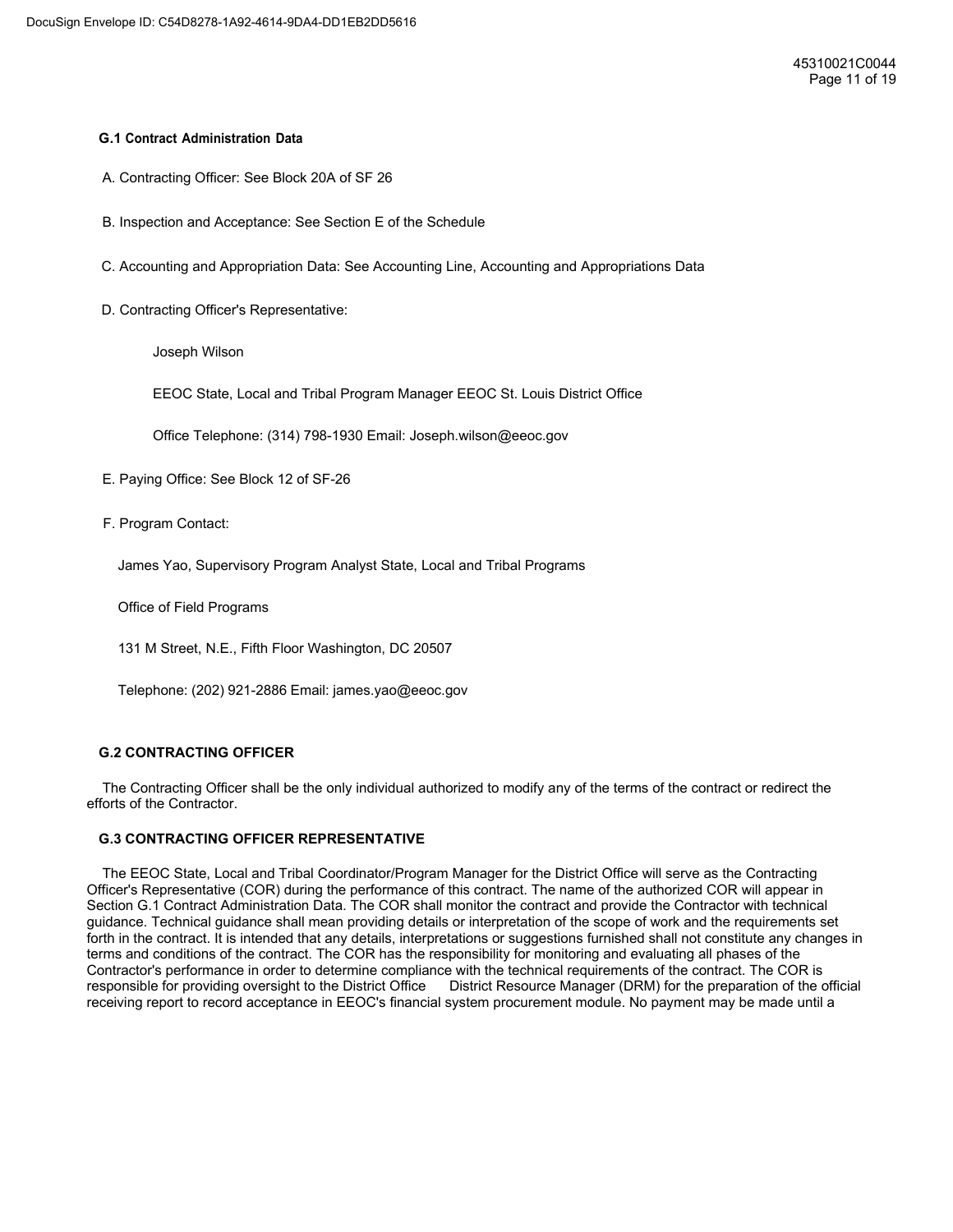#### **G.1 Contract Administration Data**

- A. Contracting Officer: See Block 20A of SF 26
- B. Inspection and Acceptance: See Section E of the Schedule
- C. Accounting and Appropriation Data: See Accounting Line, Accounting and Appropriations Data
- D. Contracting Officer's Representative:

Joseph Wilson

EEOC State, Local and Tribal Program Manager EEOC St. Louis District Office

Office Telephone: (314) 798-1930 Email: Joseph.wilson@eeoc.gov

- E. Paying Office: See Block 12 of SF-26
- F. Program Contact:

James Yao, Supervisory Program Analyst State, Local and Tribal Programs

Office of Field Programs

131 M Street, N.E., Fifth Floor Washington, DC 20507

Telephone: (202) 921-2886 Email: james.yao@eeoc.gov

#### **G.2 CONTRACTING OFFICER**

The Contracting Officer shall be the only individual authorized to modify any of the terms of the contract or redirect the efforts of the Contractor.

#### **G.3 CONTRACTING OFFICER REPRESENTATIVE**

The EEOC State, Local and Tribal Coordinator/Program Manager for the District Office will serve as the Contracting Officer's Representative (COR) during the performance of this contract. The name of the authorized COR will appear in Section G.1 Contract Administration Data. The COR shall monitor the contract and provide the Contractor with technical guidance. Technical guidance shall mean providing details or interpretation of the scope of work and the requirements set forth in the contract. It is intended that any details, interpretations or suggestions furnished shall not constitute any changes in terms and conditions of the contract. The COR has the responsibility for monitoring and evaluating all phases of the Contractor's performance in order to determine compliance with the technical requirements of the contract. The COR is responsible for providing oversight to the District Office District Resource Manager (DRM) for the preparation of the official receiving report to record acceptance in EEOC's financial system procurement module. No payment may be made until a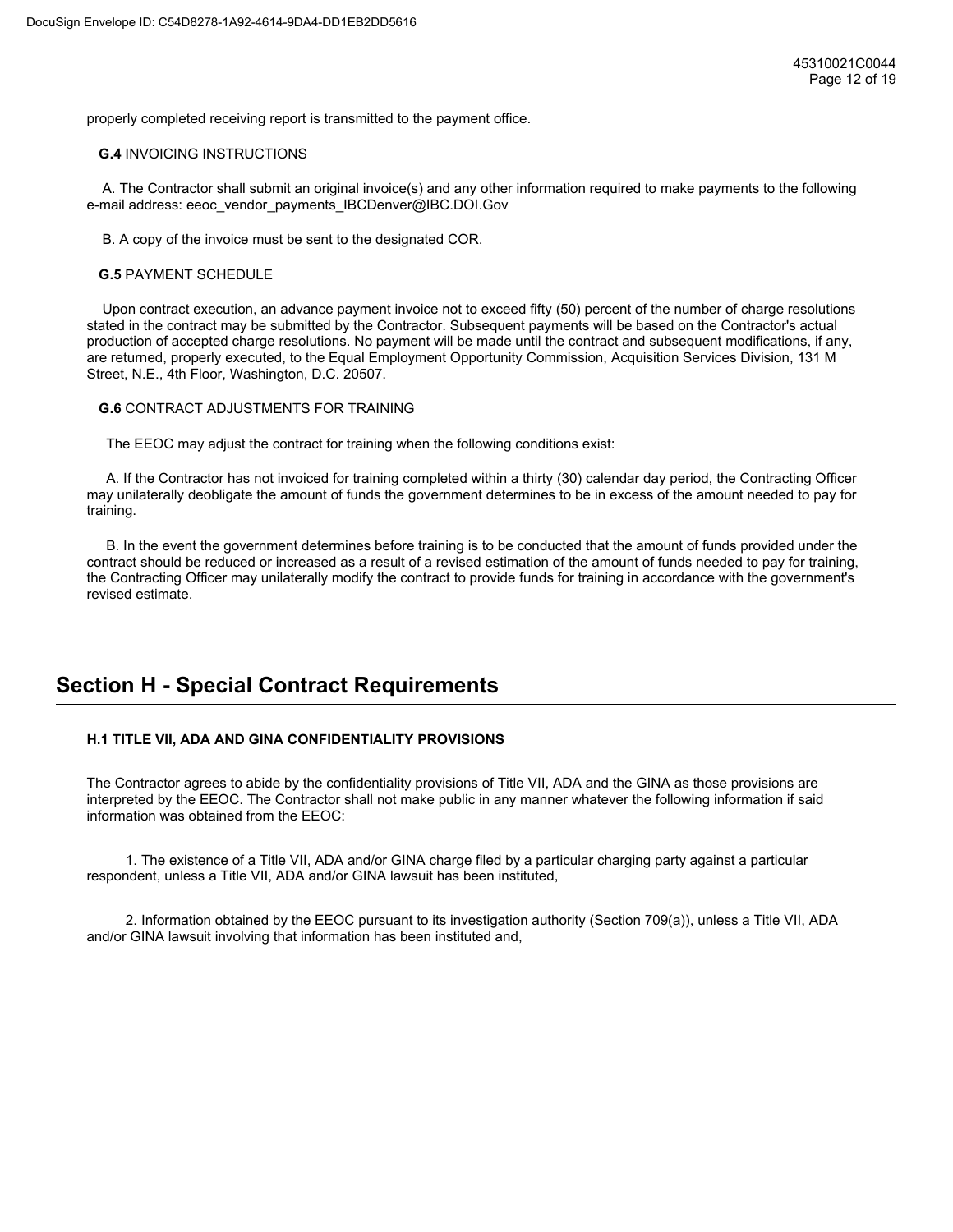properly completed receiving report is transmitted to the payment office.

#### **G.4** INVOICING INSTRUCTIONS

A. The Contractor shall submit an original invoice(s) and any other information required to make payments to the following e-mail address: eeoc\_vendor\_payments\_IBCDenver@IBC.DOI.Gov

B. A copy of the invoice must be sent to the designated COR.

#### **G.5** PAYMENT SCHEDULE

Upon contract execution, an advance payment invoice not to exceed fifty (50) percent of the number of charge resolutions stated in the contract may be submitted by the Contractor. Subsequent payments will be based on the Contractor's actual production of accepted charge resolutions. No payment will be made until the contract and subsequent modifications, if any, are returned, properly executed, to the Equal Employment Opportunity Commission, Acquisition Services Division, 131 M Street, N.E., 4th Floor, Washington, D.C. 20507.

#### **G.6** CONTRACT ADJUSTMENTS FOR TRAINING

The EEOC may adjust the contract for training when the following conditions exist:

A. If the Contractor has not invoiced for training completed within a thirty (30) calendar day period, the Contracting Officer may unilaterally deobligate the amount of funds the government determines to be in excess of the amount needed to pay for training.

B. In the event the government determines before training is to be conducted that the amount of funds provided under the contract should be reduced or increased as a result of a revised estimation of the amount of funds needed to pay for training, the Contracting Officer may unilaterally modify the contract to provide funds for training in accordance with the government's revised estimate.

### **Section H - Special Contract Requirements**

#### **H.1 TITLE VII, ADA AND GINA CONFIDENTIALITY PROVISIONS**

The Contractor agrees to abide by the confidentiality provisions of Title VII, ADA and the GINA as those provisions are interpreted by the EEOC. The Contractor shall not make public in any manner whatever the following information if said information was obtained from the EEOC:

1. The existence of a Title VII, ADA and/or GINA charge filed by a particular charging party against a particular respondent, unless a Title VII, ADA and/or GINA lawsuit has been instituted,

2. Information obtained by the EEOC pursuant to its investigation authority (Section 709(a)), unless a Title VII, ADA and/or GINA lawsuit involving that information has been instituted and,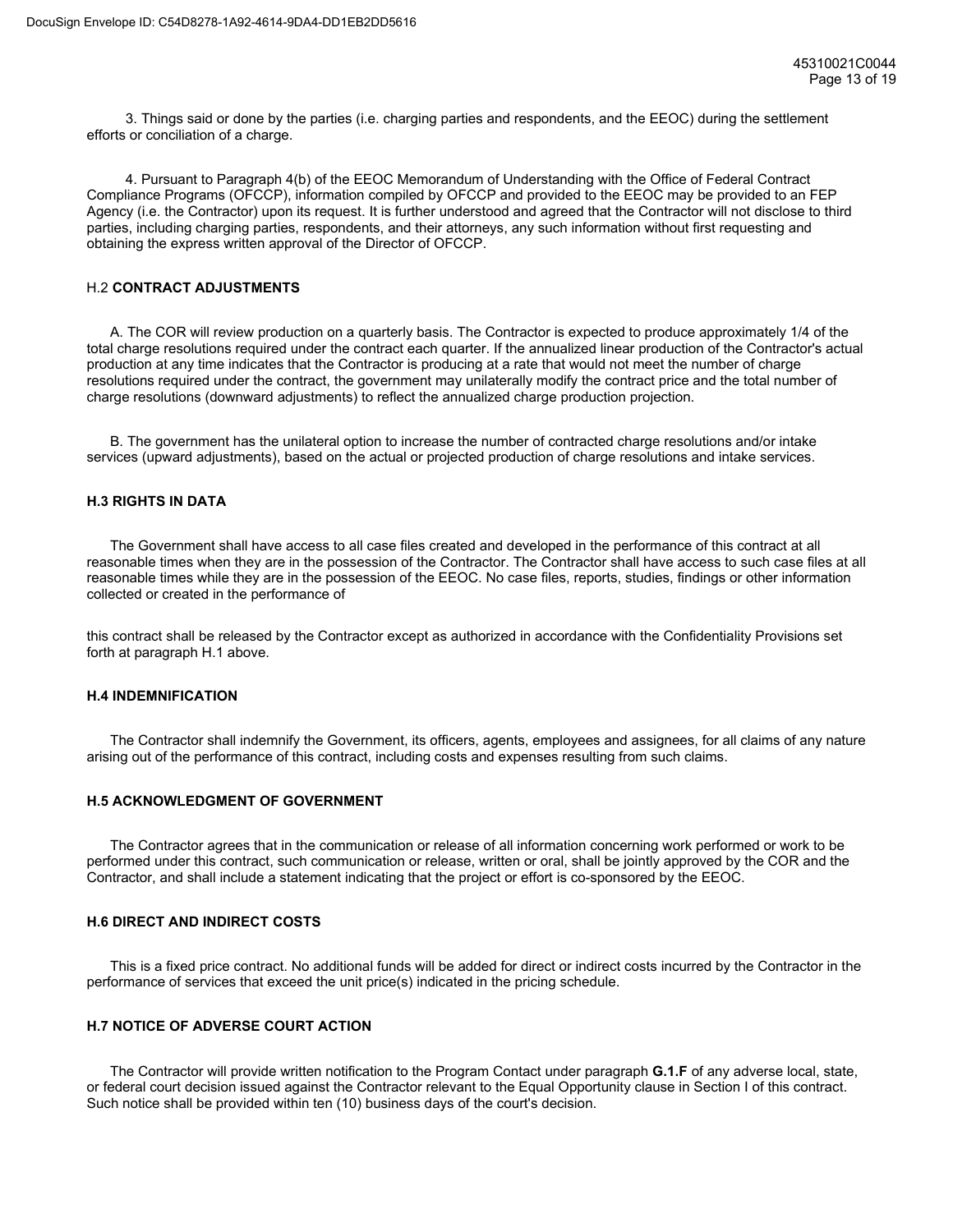3. Things said or done by the parties (i.e. charging parties and respondents, and the EEOC) during the settlement efforts or conciliation of a charge.

4. Pursuant to Paragraph 4(b) of the EEOC Memorandum of Understanding with the Office of Federal Contract Compliance Programs (OFCCP), information compiled by OFCCP and provided to the EEOC may be provided to an FEP Agency (i.e. the Contractor) upon its request. It is further understood and agreed that the Contractor will not disclose to third parties, including charging parties, respondents, and their attorneys, any such information without first requesting and obtaining the express written approval of the Director of OFCCP.

#### H.2 **CONTRACT ADJUSTMENTS**

A. The COR will review production on a quarterly basis. The Contractor is expected to produce approximately 1/4 of the total charge resolutions required under the contract each quarter. If the annualized linear production of the Contractor's actual production at any time indicates that the Contractor is producing at a rate that would not meet the number of charge resolutions required under the contract, the government may unilaterally modify the contract price and the total number of charge resolutions (downward adjustments) to reflect the annualized charge production projection.

B. The government has the unilateral option to increase the number of contracted charge resolutions and/or intake services (upward adjustments), based on the actual or projected production of charge resolutions and intake services.

#### **H.3 RIGHTS IN DATA**

The Government shall have access to all case files created and developed in the performance of this contract at all reasonable times when they are in the possession of the Contractor. The Contractor shall have access to such case files at all reasonable times while they are in the possession of the EEOC. No case files, reports, studies, findings or other information collected or created in the performance of

this contract shall be released by the Contractor except as authorized in accordance with the Confidentiality Provisions set forth at paragraph H.1 above.

#### **H.4 INDEMNIFICATION**

The Contractor shall indemnify the Government, its officers, agents, employees and assignees, for all claims of any nature arising out of the performance of this contract, including costs and expenses resulting from such claims.

#### **H.5 ACKNOWLEDGMENT OF GOVERNMENT**

The Contractor agrees that in the communication or release of all information concerning work performed or work to be performed under this contract, such communication or release, written or oral, shall be jointly approved by the COR and the Contractor, and shall include a statement indicating that the project or effort is co-sponsored by the EEOC.

#### **H.6 DIRECT AND INDIRECT COSTS**

This is a fixed price contract. No additional funds will be added for direct or indirect costs incurred by the Contractor in the performance of services that exceed the unit price(s) indicated in the pricing schedule.

#### **H.7 NOTICE OF ADVERSE COURT ACTION**

The Contractor will provide written notification to the Program Contact under paragraph **G.1.F** of any adverse local, state, or federal court decision issued against the Contractor relevant to the Equal Opportunity clause in Section I of this contract. Such notice shall be provided within ten (10) business days of the court's decision.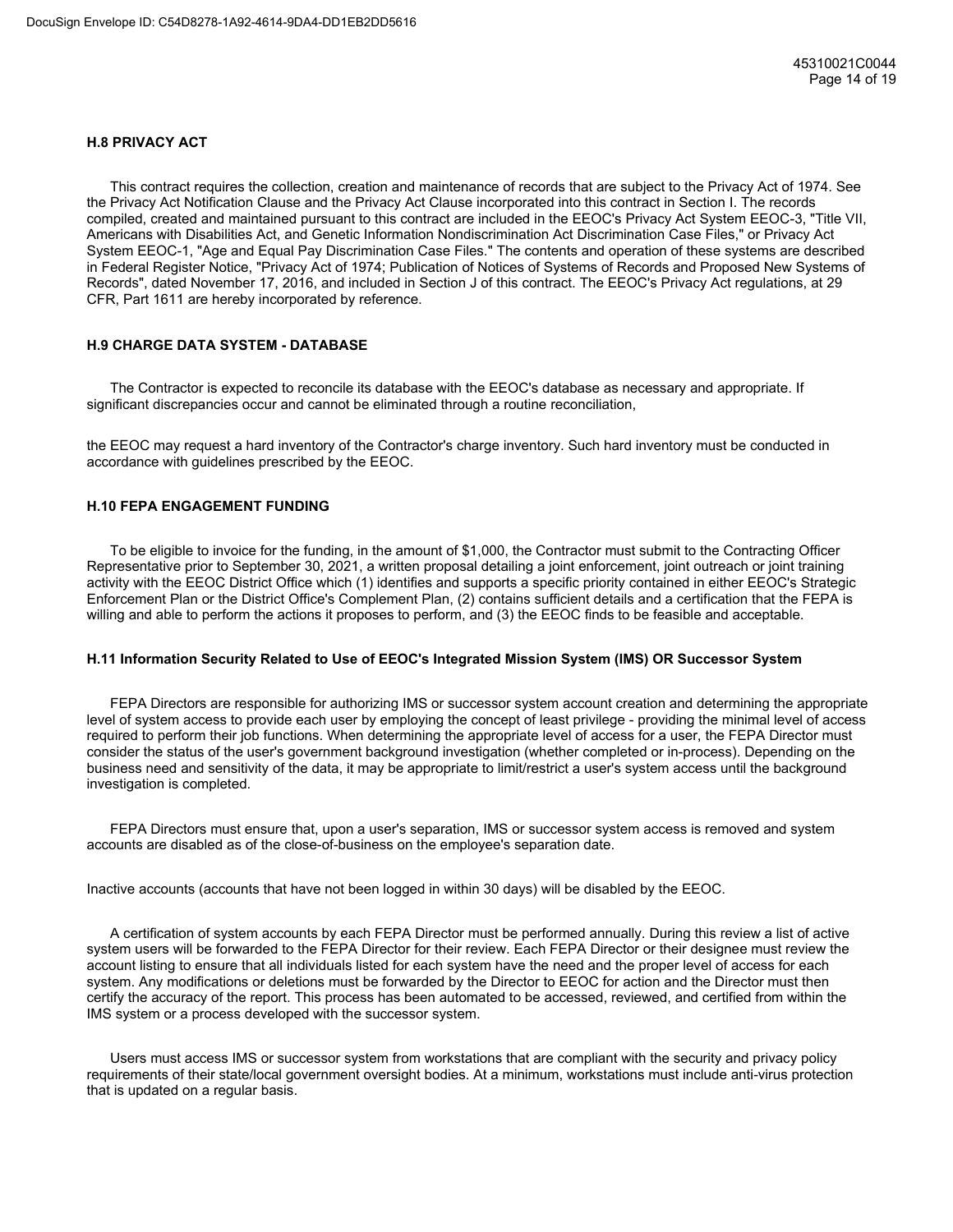#### **H.8 PRIVACY ACT**

This contract requires the collection, creation and maintenance of records that are subject to the Privacy Act of 1974. See the Privacy Act Notification Clause and the Privacy Act Clause incorporated into this contract in Section I. The records compiled, created and maintained pursuant to this contract are included in the EEOC's Privacy Act System EEOC-3, "Title VII, Americans with Disabilities Act, and Genetic Information Nondiscrimination Act Discrimination Case Files," or Privacy Act System EEOC-1, "Age and Equal Pay Discrimination Case Files." The contents and operation of these systems are described in Federal Register Notice, "Privacy Act of 1974; Publication of Notices of Systems of Records and Proposed New Systems of Records", dated November 17, 2016, and included in Section J of this contract. The EEOC's Privacy Act regulations, at 29 CFR, Part 1611 are hereby incorporated by reference.

#### **H.9 CHARGE DATA SYSTEM - DATABASE**

The Contractor is expected to reconcile its database with the EEOC's database as necessary and appropriate. If significant discrepancies occur and cannot be eliminated through a routine reconciliation,

the EEOC may request a hard inventory of the Contractor's charge inventory. Such hard inventory must be conducted in accordance with guidelines prescribed by the EEOC.

#### **H.10 FEPA ENGAGEMENT FUNDING**

To be eligible to invoice for the funding, in the amount of \$1,000, the Contractor must submit to the Contracting Officer Representative prior to September 30, 2021, a written proposal detailing a joint enforcement, joint outreach or joint training activity with the EEOC District Office which (1) identifies and supports a specific priority contained in either EEOC's Strategic Enforcement Plan or the District Office's Complement Plan, (2) contains sufficient details and a certification that the FEPA is willing and able to perform the actions it proposes to perform, and (3) the EEOC finds to be feasible and acceptable.

#### **H.11 Information Security Related to Use of EEOC's Integrated Mission System (IMS) OR Successor System**

FEPA Directors are responsible for authorizing IMS or successor system account creation and determining the appropriate level of system access to provide each user by employing the concept of least privilege - providing the minimal level of access required to perform their job functions. When determining the appropriate level of access for a user, the FEPA Director must consider the status of the user's government background investigation (whether completed or in-process). Depending on the business need and sensitivity of the data, it may be appropriate to limit/restrict a user's system access until the background investigation is completed.

FEPA Directors must ensure that, upon a user's separation, IMS or successor system access is removed and system accounts are disabled as of the close-of-business on the employee's separation date.

Inactive accounts (accounts that have not been logged in within 30 days) will be disabled by the EEOC.

A certification of system accounts by each FEPA Director must be performed annually. During this review a list of active system users will be forwarded to the FEPA Director for their review. Each FEPA Director or their designee must review the account listing to ensure that all individuals listed for each system have the need and the proper level of access for each system. Any modifications or deletions must be forwarded by the Director to EEOC for action and the Director must then certify the accuracy of the report. This process has been automated to be accessed, reviewed, and certified from within the IMS system or a process developed with the successor system.

Users must access IMS or successor system from workstations that are compliant with the security and privacy policy requirements of their state/local government oversight bodies. At a minimum, workstations must include anti-virus protection that is updated on a regular basis.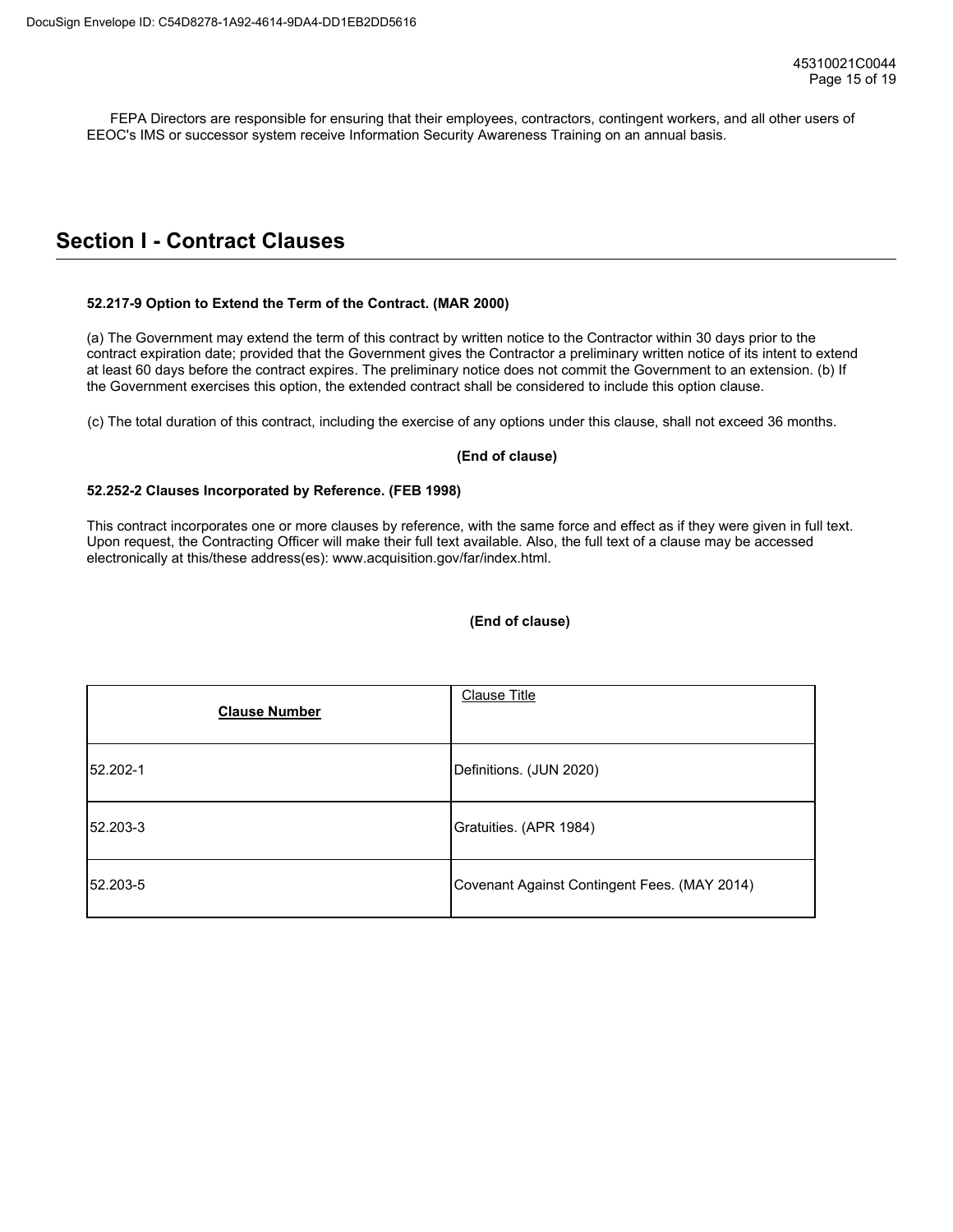FEPA Directors are responsible for ensuring that their employees, contractors, contingent workers, and all other users of EEOC's IMS or successor system receive Information Security Awareness Training on an annual basis.

### **Section I - Contract Clauses**

#### **52.217-9 Option to Extend the Term of the Contract. (MAR 2000)**

(a) The Government may extend the term of this contract by written notice to the Contractor within 30 days prior to the contract expiration date; provided that the Government gives the Contractor a preliminary written notice of its intent to extend at least 60 days before the contract expires. The preliminary notice does not commit the Government to an extension. (b) If the Government exercises this option, the extended contract shall be considered to include this option clause.

(c) The total duration of this contract, including the exercise of any options under this clause, shall not exceed 36 months.

#### **(End of clause)**

#### **52.252-2 Clauses Incorporated by Reference. (FEB 1998)**

This contract incorporates one or more clauses by reference, with the same force and effect as if they were given in full text. Upon request, the Contracting Officer will make their full text available. Also, the full text of a clause may be accessed electronically at this/these address(es): www.acquisition.gov/far/index.html.

#### **(End of clause)**

| <b>Clause Number</b> | Clause Title                                 |
|----------------------|----------------------------------------------|
| 52.202-1             | Definitions. (JUN 2020)                      |
| 52.203-3             | Gratuities. (APR 1984)                       |
| 52.203-5             | Covenant Against Contingent Fees. (MAY 2014) |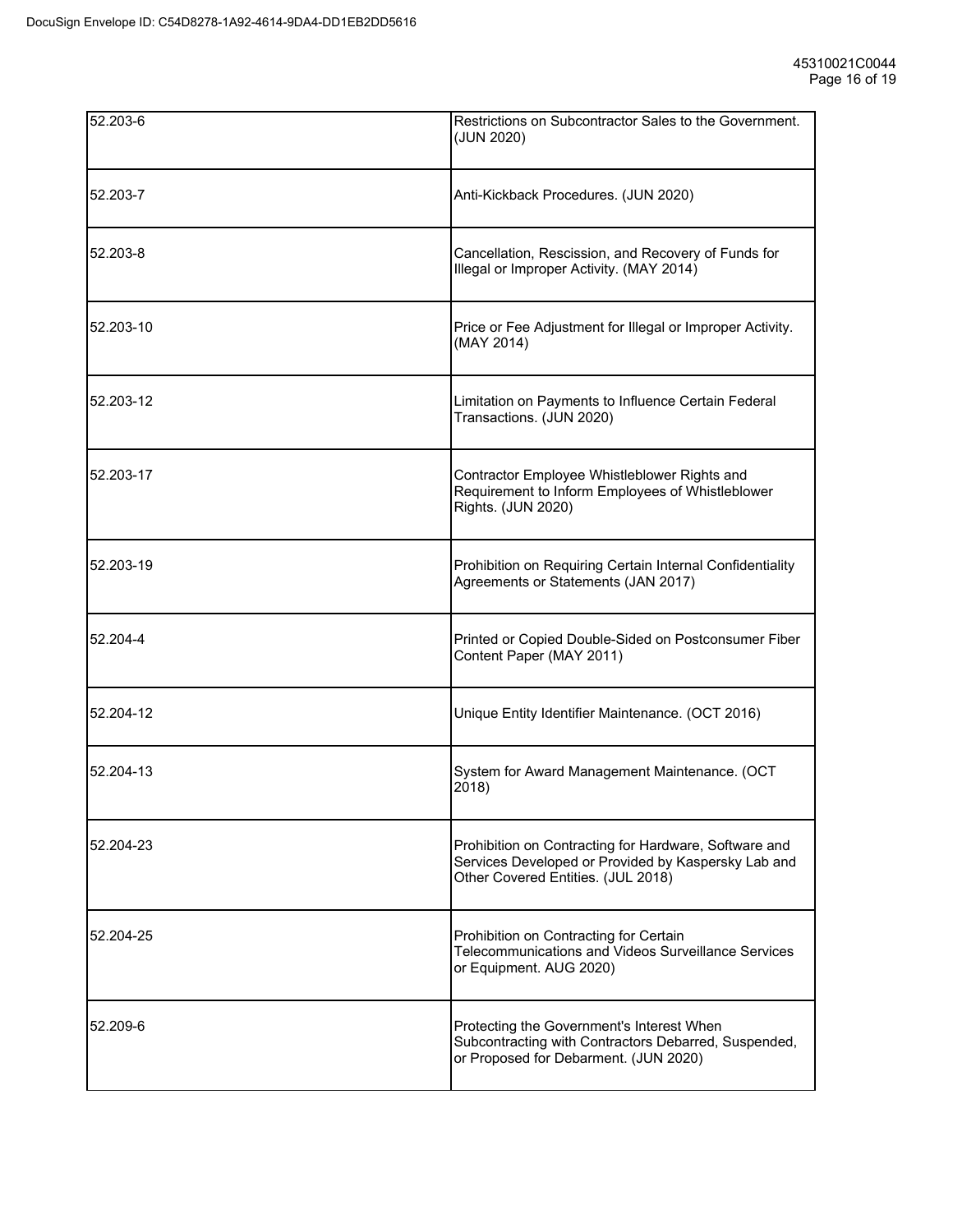| 52.203-6  | Restrictions on Subcontractor Sales to the Government.<br>(JUN 2020)                                                                               |
|-----------|----------------------------------------------------------------------------------------------------------------------------------------------------|
| 52.203-7  | Anti-Kickback Procedures. (JUN 2020)                                                                                                               |
| 52.203-8  | Cancellation, Rescission, and Recovery of Funds for<br>Illegal or Improper Activity. (MAY 2014)                                                    |
| 52.203-10 | Price or Fee Adjustment for Illegal or Improper Activity.<br>(MAY 2014)                                                                            |
| 52.203-12 | Limitation on Payments to Influence Certain Federal<br>Transactions. (JUN 2020)                                                                    |
| 52.203-17 | Contractor Employee Whistleblower Rights and<br>Requirement to Inform Employees of Whistleblower<br>Rights. (JUN 2020)                             |
| 52.203-19 | Prohibition on Requiring Certain Internal Confidentiality<br>Agreements or Statements (JAN 2017)                                                   |
| 52.204-4  | Printed or Copied Double-Sided on Postconsumer Fiber<br>Content Paper (MAY 2011)                                                                   |
| 52.204-12 | Unique Entity Identifier Maintenance. (OCT 2016)                                                                                                   |
| 52.204-13 | System for Award Management Maintenance. (OCT<br>2018)                                                                                             |
| 52.204-23 | Prohibition on Contracting for Hardware, Software and<br>Services Developed or Provided by Kaspersky Lab and<br>Other Covered Entities. (JUL 2018) |
| 52.204-25 | Prohibition on Contracting for Certain<br>Telecommunications and Videos Surveillance Services<br>or Equipment. AUG 2020)                           |
| 52.209-6  | Protecting the Government's Interest When<br>Subcontracting with Contractors Debarred, Suspended,<br>or Proposed for Debarment. (JUN 2020)         |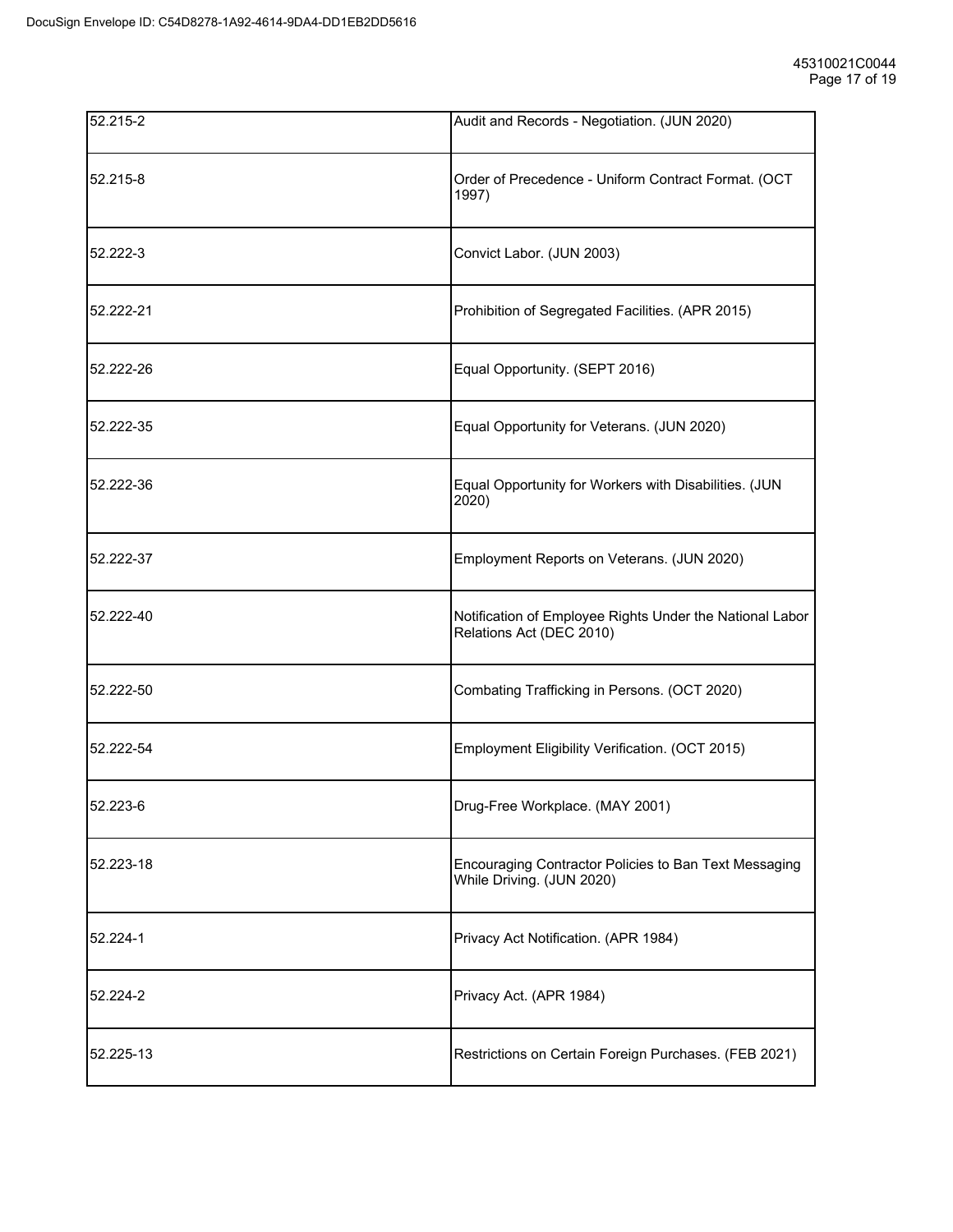| 52.215-2  | Audit and Records - Negotiation. (JUN 2020)                                          |
|-----------|--------------------------------------------------------------------------------------|
| 52.215-8  | Order of Precedence - Uniform Contract Format. (OCT<br>1997)                         |
| 52.222-3  | Convict Labor. (JUN 2003)                                                            |
| 52.222-21 | Prohibition of Segregated Facilities. (APR 2015)                                     |
| 52.222-26 | Equal Opportunity. (SEPT 2016)                                                       |
| 52.222-35 | Equal Opportunity for Veterans. (JUN 2020)                                           |
| 52.222-36 | Equal Opportunity for Workers with Disabilities. (JUN<br>2020)                       |
| 52.222-37 | Employment Reports on Veterans. (JUN 2020)                                           |
| 52.222-40 | Notification of Employee Rights Under the National Labor<br>Relations Act (DEC 2010) |
| 52.222-50 | Combating Trafficking in Persons. (OCT 2020)                                         |
| 52.222-54 | Employment Eligibility Verification. (OCT 2015)                                      |
| 52.223-6  | Drug-Free Workplace. (MAY 2001)                                                      |
| 52.223-18 | Encouraging Contractor Policies to Ban Text Messaging<br>While Driving. (JUN 2020)   |
| 52.224-1  | Privacy Act Notification. (APR 1984)                                                 |
| 52.224-2  | Privacy Act. (APR 1984)                                                              |
| 52.225-13 | Restrictions on Certain Foreign Purchases. (FEB 2021)                                |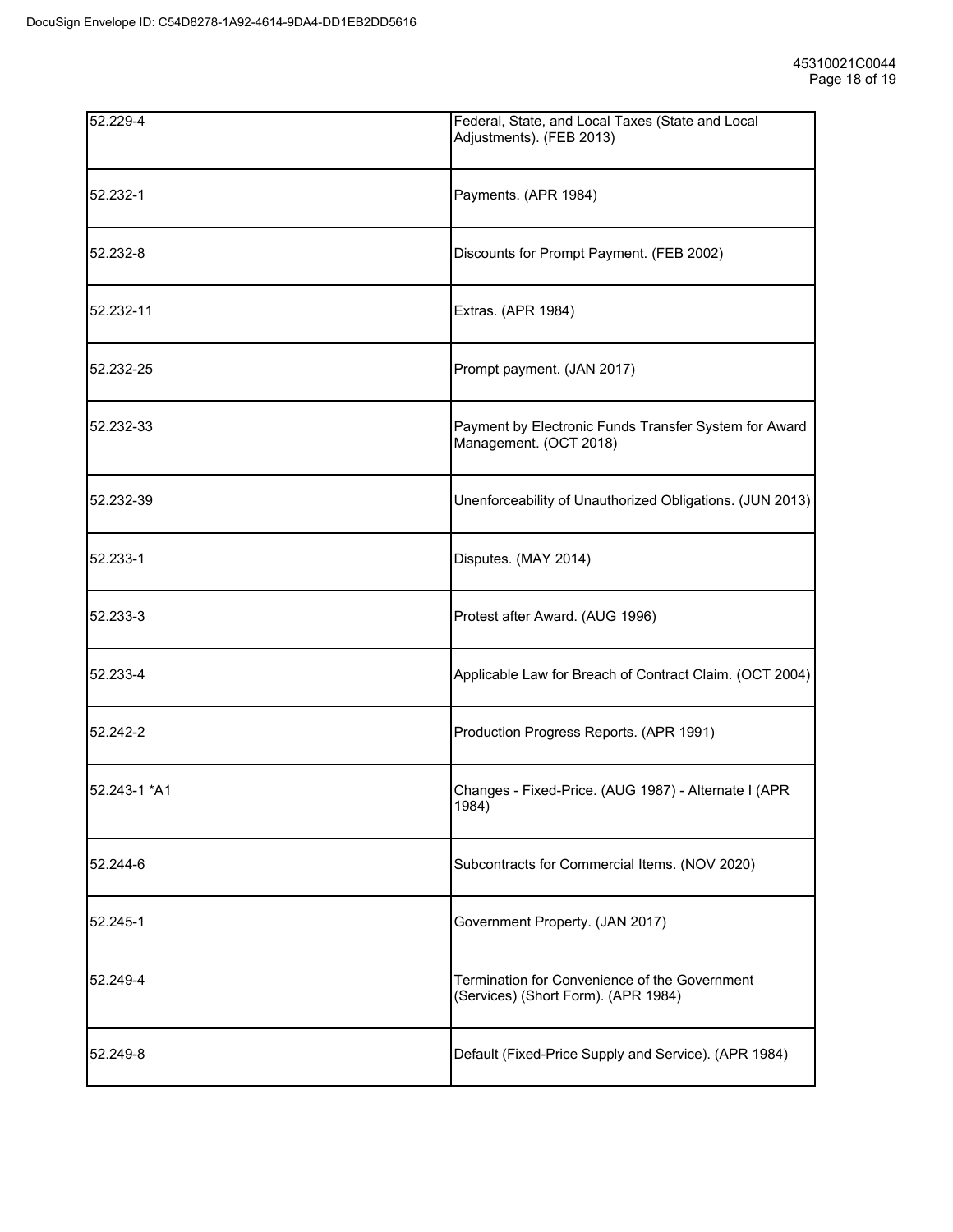| 52.229-4     | Federal, State, and Local Taxes (State and Local<br>Adjustments). (FEB 2013)         |
|--------------|--------------------------------------------------------------------------------------|
| 52.232-1     | Payments. (APR 1984)                                                                 |
| 52.232-8     | Discounts for Prompt Payment. (FEB 2002)                                             |
| 52.232-11    | Extras. (APR 1984)                                                                   |
| 52.232-25    | Prompt payment. (JAN 2017)                                                           |
| 52.232-33    | Payment by Electronic Funds Transfer System for Award<br>Management. (OCT 2018)      |
| 52.232-39    | Unenforceability of Unauthorized Obligations. (JUN 2013)                             |
| 52.233-1     | Disputes. (MAY 2014)                                                                 |
| 52.233-3     | Protest after Award. (AUG 1996)                                                      |
| 52.233-4     | Applicable Law for Breach of Contract Claim. (OCT 2004)                              |
| 52.242-2     | Production Progress Reports. (APR 1991)                                              |
| 52.243-1 *A1 | Changes - Fixed-Price. (AUG 1987) - Alternate I (APR<br>1984)                        |
| 52.244-6     | Subcontracts for Commercial Items. (NOV 2020)                                        |
| 52.245-1     | Government Property. (JAN 2017)                                                      |
| 52.249-4     | Termination for Convenience of the Government<br>(Services) (Short Form). (APR 1984) |
| 52.249-8     | Default (Fixed-Price Supply and Service). (APR 1984)                                 |